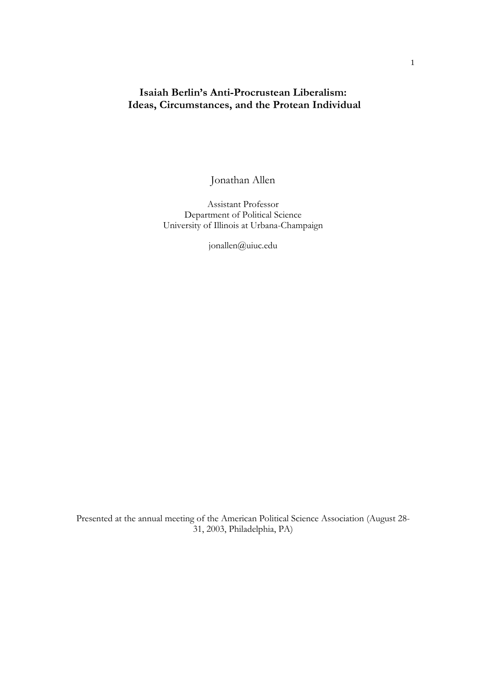# **Isaiah Berlin's Anti-Procrustean Liberalism: Ideas, Circumstances, and the Protean Individual**

Jonathan Allen

Assistant Professor Department of Political Science University of Illinois at Urbana-Champaign

jonallen@uiuc.edu

Presented at the annual meeting of the American Political Science Association (August 28- 31, 2003, Philadelphia, PA)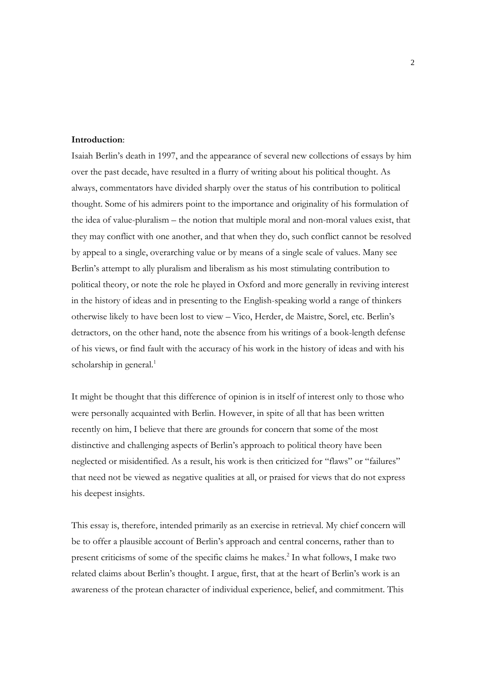### **Introduction**:

Isaiah Berlin's death in 1997, and the appearance of several new collections of essays by him over the past decade, have resulted in a flurry of writing about his political thought. As always, commentators have divided sharply over the status of his contribution to political thought. Some of his admirers point to the importance and originality of his formulation of the idea of value-pluralism – the notion that multiple moral and non-moral values exist, that they may conflict with one another, and that when they do, such conflict cannot be resolved by appeal to a single, overarching value or by means of a single scale of values. Many see Berlin's attempt to ally pluralism and liberalism as his most stimulating contribution to political theory, or note the role he played in Oxford and more generally in reviving interest in the history of ideas and in presenting to the English-speaking world a range of thinkers otherwise likely to have been lost to view – Vico, Herder, de Maistre, Sorel, etc. Berlin's detractors, on the other hand, note the absence from his writings of a book-length defense of his views, or find fault with the accuracy of his work in the history of ideas and with his scholarship in general.<sup>1</sup>

It might be thought that this difference of opinion is in itself of interest only to those who were personally acquainted with Berlin. However, in spite of all that has been written recently on him, I believe that there are grounds for concern that some of the most distinctive and challenging aspects of Berlin's approach to political theory have been neglected or misidentified. As a result, his work is then criticized for "flaws" or "failures" that need not be viewed as negative qualities at all, or praised for views that do not express his deepest insights.

This essay is, therefore, intended primarily as an exercise in retrieval. My chief concern will be to offer a plausible account of Berlin's approach and central concerns, rather than to present criticisms of some of the specific claims he makes.<sup>2</sup> In what follows, I make two related claims about Berlin's thought. I argue, first, that at the heart of Berlin's work is an awareness of the protean character of individual experience, belief, and commitment. This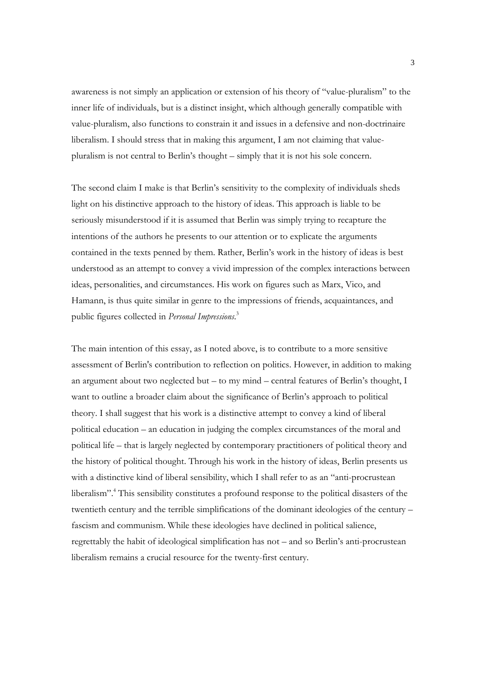awareness is not simply an application or extension of his theory of "value-pluralism" to the inner life of individuals, but is a distinct insight, which although generally compatible with value-pluralism, also functions to constrain it and issues in a defensive and non-doctrinaire liberalism. I should stress that in making this argument, I am not claiming that valuepluralism is not central to Berlin's thought – simply that it is not his sole concern.

The second claim I make is that Berlin's sensitivity to the complexity of individuals sheds light on his distinctive approach to the history of ideas. This approach is liable to be seriously misunderstood if it is assumed that Berlin was simply trying to recapture the intentions of the authors he presents to our attention or to explicate the arguments contained in the texts penned by them. Rather, Berlin's work in the history of ideas is best understood as an attempt to convey a vivid impression of the complex interactions between ideas, personalities, and circumstances. His work on figures such as Marx, Vico, and Hamann, is thus quite similar in genre to the impressions of friends, acquaintances, and public figures collected in *Personal Impressions*. 3

The main intention of this essay, as I noted above, is to contribute to a more sensitive assessment of Berlin's contribution to reflection on politics. However, in addition to making an argument about two neglected but – to my mind – central features of Berlin's thought, I want to outline a broader claim about the significance of Berlin's approach to political theory. I shall suggest that his work is a distinctive attempt to convey a kind of liberal political education – an education in judging the complex circumstances of the moral and political life – that is largely neglected by contemporary practitioners of political theory and the history of political thought. Through his work in the history of ideas, Berlin presents us with a distinctive kind of liberal sensibility, which I shall refer to as an "anti-procrustean liberalism".4 This sensibility constitutes a profound response to the political disasters of the twentieth century and the terrible simplifications of the dominant ideologies of the century – fascism and communism. While these ideologies have declined in political salience, regrettably the habit of ideological simplification has not – and so Berlin's anti-procrustean liberalism remains a crucial resource for the twenty-first century.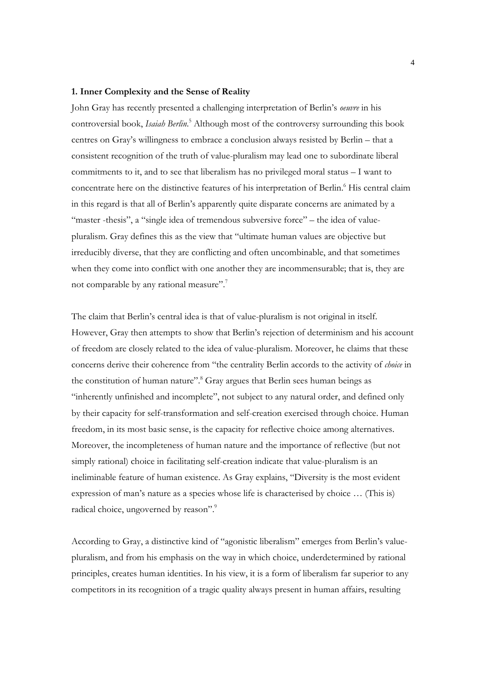#### **1. Inner Complexity and the Sense of Reality**

John Gray has recently presented a challenging interpretation of Berlin's *oeuvre* in his controversial book, *Isaiah Berlin*. 5 Although most of the controversy surrounding this book centres on Gray's willingness to embrace a conclusion always resisted by Berlin – that a consistent recognition of the truth of value-pluralism may lead one to subordinate liberal commitments to it, and to see that liberalism has no privileged moral status – I want to concentrate here on the distinctive features of his interpretation of Berlin.<sup>6</sup> His central claim in this regard is that all of Berlin's apparently quite disparate concerns are animated by a "master -thesis", a "single idea of tremendous subversive force" – the idea of valuepluralism. Gray defines this as the view that "ultimate human values are objective but irreducibly diverse, that they are conflicting and often uncombinable, and that sometimes when they come into conflict with one another they are incommensurable; that is, they are not comparable by any rational measure". $7$ 

The claim that Berlin's central idea is that of value-pluralism is not original in itself. However, Gray then attempts to show that Berlin's rejection of determinism and his account of freedom are closely related to the idea of value-pluralism. Moreover, he claims that these concerns derive their coherence from "the centrality Berlin accords to the activity of *choice* in the constitution of human nature".<sup>8</sup> Gray argues that Berlin sees human beings as "inherently unfinished and incomplete", not subject to any natural order, and defined only by their capacity for self-transformation and self-creation exercised through choice. Human freedom, in its most basic sense, is the capacity for reflective choice among alternatives. Moreover, the incompleteness of human nature and the importance of reflective (but not simply rational) choice in facilitating self-creation indicate that value-pluralism is an ineliminable feature of human existence. As Gray explains, "Diversity is the most evident expression of man's nature as a species whose life is characterised by choice … (This is) radical choice, ungoverned by reason".<sup>9</sup>

According to Gray, a distinctive kind of "agonistic liberalism" emerges from Berlin's valuepluralism, and from his emphasis on the way in which choice, underdetermined by rational principles, creates human identities. In his view, it is a form of liberalism far superior to any competitors in its recognition of a tragic quality always present in human affairs, resulting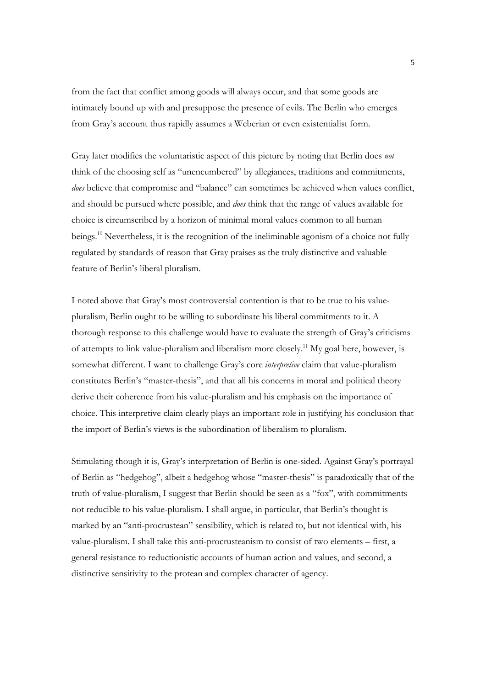from the fact that conflict among goods will always occur, and that some goods are intimately bound up with and presuppose the presence of evils. The Berlin who emerges from Gray's account thus rapidly assumes a Weberian or even existentialist form.

Gray later modifies the voluntaristic aspect of this picture by noting that Berlin does *not* think of the choosing self as "unencumbered" by allegiances, traditions and commitments, *does* believe that compromise and "balance" can sometimes be achieved when values conflict, and should be pursued where possible, and *does* think that the range of values available for choice is circumscribed by a horizon of minimal moral values common to all human beings.<sup>10</sup> Nevertheless, it is the recognition of the ineliminable agonism of a choice not fully regulated by standards of reason that Gray praises as the truly distinctive and valuable feature of Berlin's liberal pluralism.

I noted above that Gray's most controversial contention is that to be true to his valuepluralism, Berlin ought to be willing to subordinate his liberal commitments to it. A thorough response to this challenge would have to evaluate the strength of Gray's criticisms of attempts to link value-pluralism and liberalism more closely.11 My goal here, however, is somewhat different. I want to challenge Gray's core *interpretive* claim that value-pluralism constitutes Berlin's "master-thesis", and that all his concerns in moral and political theory derive their coherence from his value-pluralism and his emphasis on the importance of choice. This interpretive claim clearly plays an important role in justifying his conclusion that the import of Berlin's views is the subordination of liberalism to pluralism.

Stimulating though it is, Gray's interpretation of Berlin is one-sided. Against Gray's portrayal of Berlin as "hedgehog", albeit a hedgehog whose "master-thesis" is paradoxically that of the truth of value-pluralism, I suggest that Berlin should be seen as a "fox", with commitments not reducible to his value-pluralism. I shall argue, in particular, that Berlin's thought is marked by an "anti-procrustean" sensibility, which is related to, but not identical with, his value-pluralism. I shall take this anti-procrusteanism to consist of two elements – first, a general resistance to reductionistic accounts of human action and values, and second, a distinctive sensitivity to the protean and complex character of agency.

5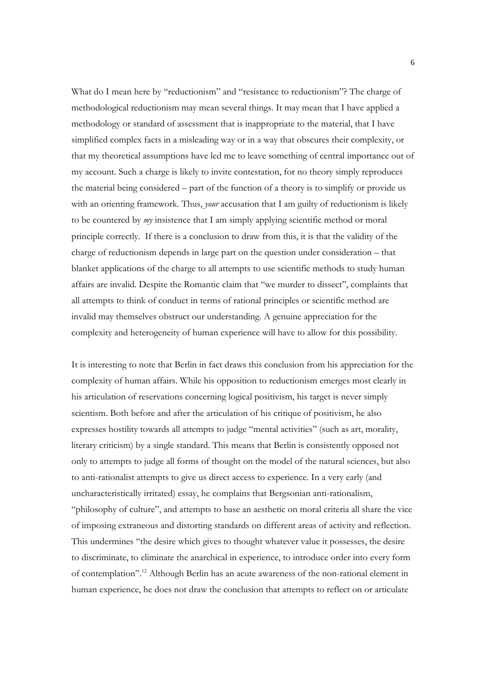What do I mean here by "reductionism" and "resistance to reductionism"? The charge of methodological reductionism may mean several things. It may mean that I have applied a methodology or standard of assessment that is inappropriate to the material, that I have simplified complex facts in a misleading way or in a way that obscures their complexity, or that my theoretical assumptions have led me to leave something of central importance out of my account. Such a charge is likely to invite contestation, for no theory simply reproduces the material being considered – part of the function of a theory is to simplify or provide us with an orienting framework. Thus, *your* accusation that I am guilty of reductionism is likely to be countered by *my* insistence that I am simply applying scientific method or moral principle correctly. If there is a conclusion to draw from this, it is that the validity of the charge of reductionism depends in large part on the question under consideration – that blanket applications of the charge to all attempts to use scientific methods to study human affairs are invalid. Despite the Romantic claim that "we murder to dissect", complaints that all attempts to think of conduct in terms of rational principles or scientific method are invalid may themselves obstruct our understanding. A genuine appreciation for the complexity and heterogeneity of human experience will have to allow for this possibility.

It is interesting to note that Berlin in fact draws this conclusion from his appreciation for the complexity of human affairs. While his opposition to reductionism emerges most clearly in his articulation of reservations concerning logical positivism, his target is never simply scientism. Both before and after the articulation of his critique of positivism, he also expresses hostility towards all attempts to judge "mental activities" (such as art, morality, literary criticism) by a single standard. This means that Berlin is consistently opposed not only to attempts to judge all forms of thought on the model of the natural sciences, but also to anti-rationalist attempts to give us direct access to experience. In a very early (and uncharacteristically irritated) essay, he complains that Bergsonian anti-rationalism, "philosophy of culture", and attempts to base an aesthetic on moral criteria all share the vice of imposing extraneous and distorting standards on different areas of activity and reflection. This undermines "the desire which gives to thought whatever value it possesses, the desire to discriminate, to eliminate the anarchical in experience, to introduce order into every form of contemplation".12 Although Berlin has an acute awareness of the non-rational element in human experience, he does not draw the conclusion that attempts to reflect on or articulate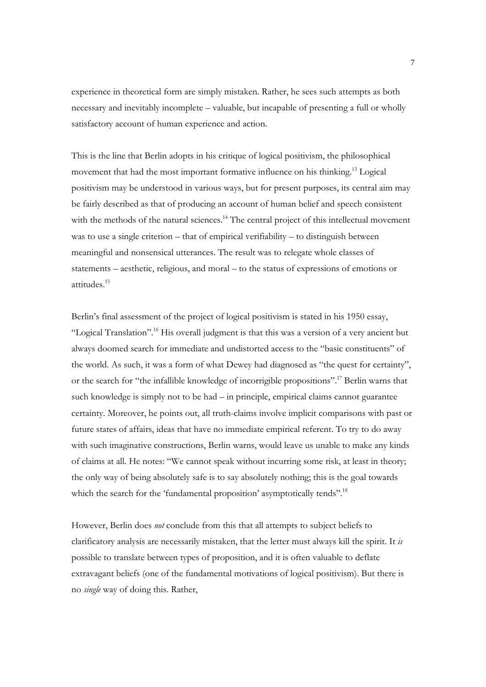experience in theoretical form are simply mistaken. Rather, he sees such attempts as both necessary and inevitably incomplete – valuable, but incapable of presenting a full or wholly satisfactory account of human experience and action.

This is the line that Berlin adopts in his critique of logical positivism, the philosophical movement that had the most important formative influence on his thinking.13 Logical positivism may be understood in various ways, but for present purposes, its central aim may be fairly described as that of producing an account of human belief and speech consistent with the methods of the natural sciences.<sup>14</sup> The central project of this intellectual movement was to use a single criterion – that of empirical verifiability – to distinguish between meaningful and nonsensical utterances. The result was to relegate whole classes of statements – aesthetic, religious, and moral – to the status of expressions of emotions or attitudes.15

Berlin's final assessment of the project of logical positivism is stated in his 1950 essay, "Logical Translation".16 His overall judgment is that this was a version of a very ancient but always doomed search for immediate and undistorted access to the "basic constituents" of the world. As such, it was a form of what Dewey had diagnosed as "the quest for certainty", or the search for "the infallible knowledge of incorrigible propositions".17 Berlin warns that such knowledge is simply not to be had – in principle, empirical claims cannot guarantee certainty. Moreover, he points out, all truth-claims involve implicit comparisons with past or future states of affairs, ideas that have no immediate empirical referent. To try to do away with such imaginative constructions, Berlin warns, would leave us unable to make any kinds of claims at all. He notes: "We cannot speak without incurring some risk, at least in theory; the only way of being absolutely safe is to say absolutely nothing; this is the goal towards which the search for the 'fundamental proposition' asymptotically tends".<sup>18</sup>

However, Berlin does *not* conclude from this that all attempts to subject beliefs to clarificatory analysis are necessarily mistaken, that the letter must always kill the spirit. It *is* possible to translate between types of proposition, and it is often valuable to deflate extravagant beliefs (one of the fundamental motivations of logical positivism). But there is no *single* way of doing this. Rather,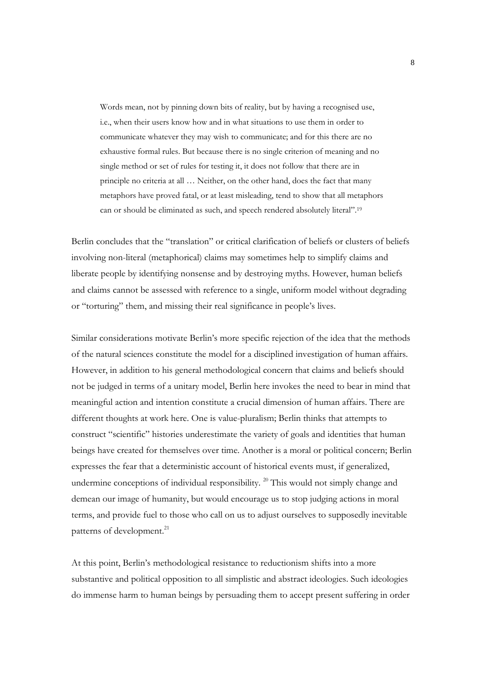Words mean, not by pinning down bits of reality, but by having a recognised use, i.e., when their users know how and in what situations to use them in order to communicate whatever they may wish to communicate; and for this there are no exhaustive formal rules. But because there is no single criterion of meaning and no single method or set of rules for testing it, it does not follow that there are in principle no criteria at all … Neither, on the other hand, does the fact that many metaphors have proved fatal, or at least misleading, tend to show that all metaphors can or should be eliminated as such, and speech rendered absolutely literal".19

Berlin concludes that the "translation" or critical clarification of beliefs or clusters of beliefs involving non-literal (metaphorical) claims may sometimes help to simplify claims and liberate people by identifying nonsense and by destroying myths. However, human beliefs and claims cannot be assessed with reference to a single, uniform model without degrading or "torturing" them, and missing their real significance in people's lives.

Similar considerations motivate Berlin's more specific rejection of the idea that the methods of the natural sciences constitute the model for a disciplined investigation of human affairs. However, in addition to his general methodological concern that claims and beliefs should not be judged in terms of a unitary model, Berlin here invokes the need to bear in mind that meaningful action and intention constitute a crucial dimension of human affairs. There are different thoughts at work here. One is value-pluralism; Berlin thinks that attempts to construct "scientific" histories underestimate the variety of goals and identities that human beings have created for themselves over time. Another is a moral or political concern; Berlin expresses the fear that a deterministic account of historical events must, if generalized, undermine conceptions of individual responsibility.<sup>20</sup> This would not simply change and demean our image of humanity, but would encourage us to stop judging actions in moral terms, and provide fuel to those who call on us to adjust ourselves to supposedly inevitable patterns of development.<sup>21</sup>

At this point, Berlin's methodological resistance to reductionism shifts into a more substantive and political opposition to all simplistic and abstract ideologies. Such ideologies do immense harm to human beings by persuading them to accept present suffering in order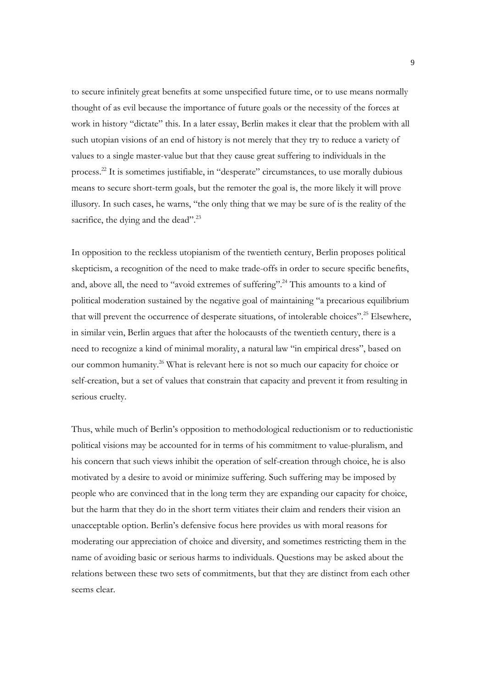to secure infinitely great benefits at some unspecified future time, or to use means normally thought of as evil because the importance of future goals or the necessity of the forces at work in history "dictate" this. In a later essay, Berlin makes it clear that the problem with all such utopian visions of an end of history is not merely that they try to reduce a variety of values to a single master-value but that they cause great suffering to individuals in the process.22 It is sometimes justifiable, in "desperate" circumstances, to use morally dubious means to secure short-term goals, but the remoter the goal is, the more likely it will prove illusory. In such cases, he warns, "the only thing that we may be sure of is the reality of the sacrifice, the dying and the dead".<sup>23</sup>

In opposition to the reckless utopianism of the twentieth century, Berlin proposes political skepticism, a recognition of the need to make trade-offs in order to secure specific benefits, and, above all, the need to "avoid extremes of suffering".<sup>24</sup> This amounts to a kind of political moderation sustained by the negative goal of maintaining "a precarious equilibrium that will prevent the occurrence of desperate situations, of intolerable choices".<sup>25</sup> Elsewhere, in similar vein, Berlin argues that after the holocausts of the twentieth century, there is a need to recognize a kind of minimal morality, a natural law "in empirical dress", based on our common humanity.26 What is relevant here is not so much our capacity for choice or self-creation, but a set of values that constrain that capacity and prevent it from resulting in serious cruelty.

Thus, while much of Berlin's opposition to methodological reductionism or to reductionistic political visions may be accounted for in terms of his commitment to value-pluralism, and his concern that such views inhibit the operation of self-creation through choice, he is also motivated by a desire to avoid or minimize suffering. Such suffering may be imposed by people who are convinced that in the long term they are expanding our capacity for choice, but the harm that they do in the short term vitiates their claim and renders their vision an unacceptable option. Berlin's defensive focus here provides us with moral reasons for moderating our appreciation of choice and diversity, and sometimes restricting them in the name of avoiding basic or serious harms to individuals. Questions may be asked about the relations between these two sets of commitments, but that they are distinct from each other seems clear.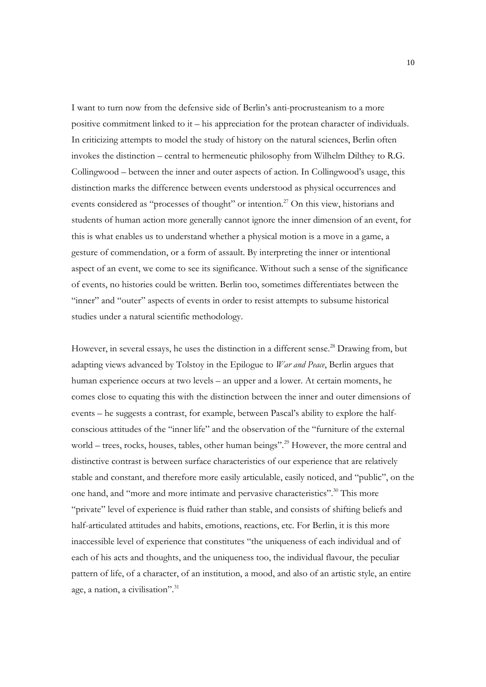I want to turn now from the defensive side of Berlin's anti-procrusteanism to a more positive commitment linked to it – his appreciation for the protean character of individuals. In criticizing attempts to model the study of history on the natural sciences, Berlin often invokes the distinction – central to hermeneutic philosophy from Wilhelm Dilthey to R.G. Collingwood – between the inner and outer aspects of action. In Collingwood's usage, this distinction marks the difference between events understood as physical occurrences and events considered as "processes of thought" or intention.<sup>27</sup> On this view, historians and students of human action more generally cannot ignore the inner dimension of an event, for this is what enables us to understand whether a physical motion is a move in a game, a gesture of commendation, or a form of assault. By interpreting the inner or intentional aspect of an event, we come to see its significance. Without such a sense of the significance of events, no histories could be written. Berlin too, sometimes differentiates between the "inner" and "outer" aspects of events in order to resist attempts to subsume historical studies under a natural scientific methodology.

However, in several essays, he uses the distinction in a different sense.<sup>28</sup> Drawing from, but adapting views advanced by Tolstoy in the Epilogue to *War and Peace*, Berlin argues that human experience occurs at two levels – an upper and a lower. At certain moments, he comes close to equating this with the distinction between the inner and outer dimensions of events – he suggests a contrast, for example, between Pascal's ability to explore the halfconscious attitudes of the "inner life" and the observation of the "furniture of the external world – trees, rocks, houses, tables, other human beings".<sup>29</sup> However, the more central and distinctive contrast is between surface characteristics of our experience that are relatively stable and constant, and therefore more easily articulable, easily noticed, and "public", on the one hand, and "more and more intimate and pervasive characteristics".<sup>30</sup> This more "private" level of experience is fluid rather than stable, and consists of shifting beliefs and half-articulated attitudes and habits, emotions, reactions, etc. For Berlin, it is this more inaccessible level of experience that constitutes "the uniqueness of each individual and of each of his acts and thoughts, and the uniqueness too, the individual flavour, the peculiar pattern of life, of a character, of an institution, a mood, and also of an artistic style, an entire age, a nation, a civilisation".<sup>31</sup>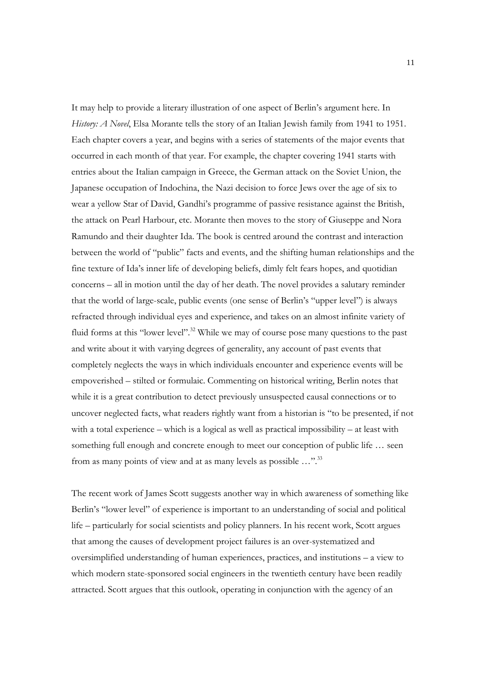It may help to provide a literary illustration of one aspect of Berlin's argument here. In *History: A Novel*, Elsa Morante tells the story of an Italian Jewish family from 1941 to 1951. Each chapter covers a year, and begins with a series of statements of the major events that occurred in each month of that year. For example, the chapter covering 1941 starts with entries about the Italian campaign in Greece, the German attack on the Soviet Union, the Japanese occupation of Indochina, the Nazi decision to force Jews over the age of six to wear a yellow Star of David, Gandhi's programme of passive resistance against the British, the attack on Pearl Harbour, etc. Morante then moves to the story of Giuseppe and Nora Ramundo and their daughter Ida. The book is centred around the contrast and interaction between the world of "public" facts and events, and the shifting human relationships and the fine texture of Ida's inner life of developing beliefs, dimly felt fears hopes, and quotidian concerns – all in motion until the day of her death. The novel provides a salutary reminder that the world of large-scale, public events (one sense of Berlin's "upper level") is always refracted through individual eyes and experience, and takes on an almost infinite variety of fluid forms at this "lower level".<sup>32</sup> While we may of course pose many questions to the past and write about it with varying degrees of generality, any account of past events that completely neglects the ways in which individuals encounter and experience events will be empoverished – stilted or formulaic. Commenting on historical writing, Berlin notes that while it is a great contribution to detect previously unsuspected causal connections or to uncover neglected facts, what readers rightly want from a historian is "to be presented, if not with a total experience – which is a logical as well as practical impossibility – at least with something full enough and concrete enough to meet our conception of public life … seen from as many points of view and at as many levels as possible ...".<sup>33</sup>

The recent work of James Scott suggests another way in which awareness of something like Berlin's "lower level" of experience is important to an understanding of social and political life – particularly for social scientists and policy planners. In his recent work, Scott argues that among the causes of development project failures is an over-systematized and oversimplified understanding of human experiences, practices, and institutions – a view to which modern state-sponsored social engineers in the twentieth century have been readily attracted. Scott argues that this outlook, operating in conjunction with the agency of an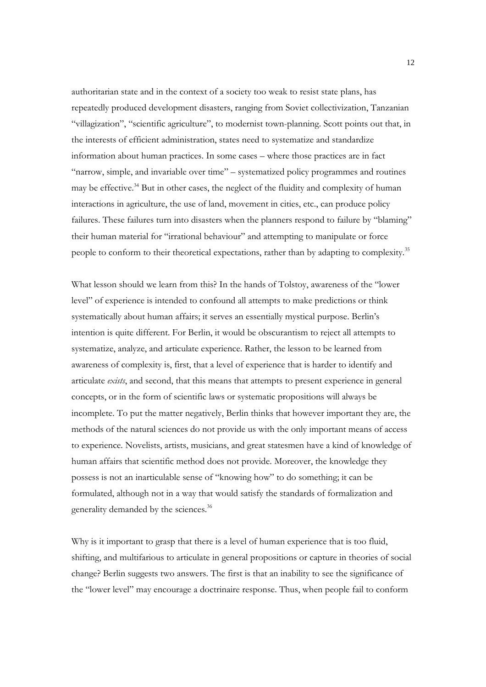authoritarian state and in the context of a society too weak to resist state plans, has repeatedly produced development disasters, ranging from Soviet collectivization, Tanzanian "villagization", "scientific agriculture", to modernist town-planning. Scott points out that, in the interests of efficient administration, states need to systematize and standardize information about human practices. In some cases – where those practices are in fact "narrow, simple, and invariable over time" – systematized policy programmes and routines may be effective.<sup>34</sup> But in other cases, the neglect of the fluidity and complexity of human interactions in agriculture, the use of land, movement in cities, etc., can produce policy failures. These failures turn into disasters when the planners respond to failure by "blaming" their human material for "irrational behaviour" and attempting to manipulate or force people to conform to their theoretical expectations, rather than by adapting to complexity.35

What lesson should we learn from this? In the hands of Tolstoy, awareness of the "lower level" of experience is intended to confound all attempts to make predictions or think systematically about human affairs; it serves an essentially mystical purpose. Berlin's intention is quite different. For Berlin, it would be obscurantism to reject all attempts to systematize, analyze, and articulate experience. Rather, the lesson to be learned from awareness of complexity is, first, that a level of experience that is harder to identify and articulate *exists*, and second, that this means that attempts to present experience in general concepts, or in the form of scientific laws or systematic propositions will always be incomplete. To put the matter negatively, Berlin thinks that however important they are, the methods of the natural sciences do not provide us with the only important means of access to experience. Novelists, artists, musicians, and great statesmen have a kind of knowledge of human affairs that scientific method does not provide. Moreover, the knowledge they possess is not an inarticulable sense of "knowing how" to do something; it can be formulated, although not in a way that would satisfy the standards of formalization and generality demanded by the sciences.36

Why is it important to grasp that there is a level of human experience that is too fluid, shifting, and multifarious to articulate in general propositions or capture in theories of social change? Berlin suggests two answers. The first is that an inability to see the significance of the "lower level" may encourage a doctrinaire response. Thus, when people fail to conform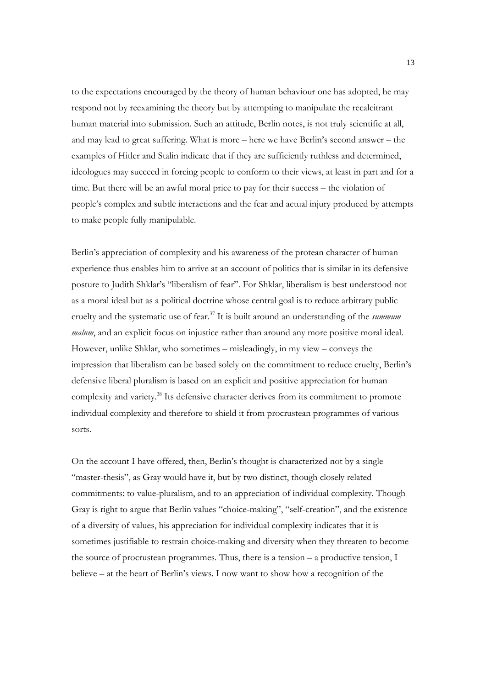to the expectations encouraged by the theory of human behaviour one has adopted, he may respond not by reexamining the theory but by attempting to manipulate the recalcitrant human material into submission. Such an attitude, Berlin notes, is not truly scientific at all, and may lead to great suffering. What is more – here we have Berlin's second answer – the examples of Hitler and Stalin indicate that if they are sufficiently ruthless and determined, ideologues may succeed in forcing people to conform to their views, at least in part and for a time. But there will be an awful moral price to pay for their success – the violation of people's complex and subtle interactions and the fear and actual injury produced by attempts to make people fully manipulable.

Berlin's appreciation of complexity and his awareness of the protean character of human experience thus enables him to arrive at an account of politics that is similar in its defensive posture to Judith Shklar's "liberalism of fear". For Shklar, liberalism is best understood not as a moral ideal but as a political doctrine whose central goal is to reduce arbitrary public cruelty and the systematic use of fear.37 It is built around an understanding of the *summum malum*, and an explicit focus on injustice rather than around any more positive moral ideal. However, unlike Shklar, who sometimes – misleadingly, in my view – conveys the impression that liberalism can be based solely on the commitment to reduce cruelty, Berlin's defensive liberal pluralism is based on an explicit and positive appreciation for human complexity and variety.38 Its defensive character derives from its commitment to promote individual complexity and therefore to shield it from procrustean programmes of various sorts.

On the account I have offered, then, Berlin's thought is characterized not by a single "master-thesis", as Gray would have it, but by two distinct, though closely related commitments: to value-pluralism, and to an appreciation of individual complexity. Though Gray is right to argue that Berlin values "choice-making", "self-creation", and the existence of a diversity of values, his appreciation for individual complexity indicates that it is sometimes justifiable to restrain choice-making and diversity when they threaten to become the source of procrustean programmes. Thus, there is a tension – a productive tension, I believe – at the heart of Berlin's views. I now want to show how a recognition of the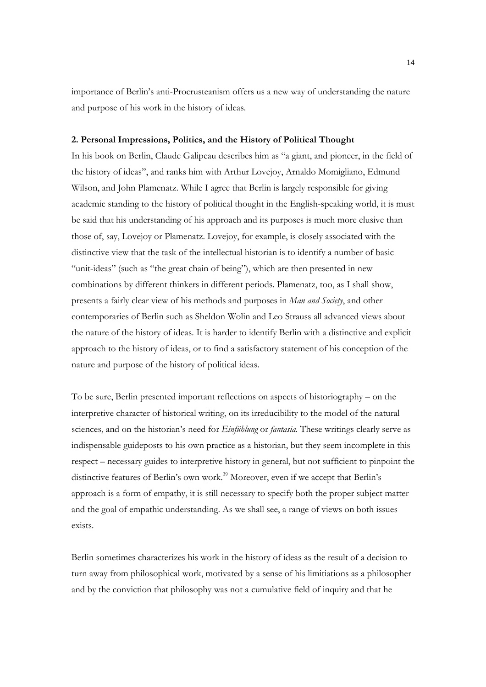importance of Berlin's anti-Procrusteanism offers us a new way of understanding the nature and purpose of his work in the history of ideas.

#### **2. Personal Impressions, Politics, and the History of Political Thought**

In his book on Berlin, Claude Galipeau describes him as "a giant, and pioneer, in the field of the history of ideas", and ranks him with Arthur Lovejoy, Arnaldo Momigliano, Edmund Wilson, and John Plamenatz. While I agree that Berlin is largely responsible for giving academic standing to the history of political thought in the English-speaking world, it is must be said that his understanding of his approach and its purposes is much more elusive than those of, say, Lovejoy or Plamenatz. Lovejoy, for example, is closely associated with the distinctive view that the task of the intellectual historian is to identify a number of basic "unit-ideas" (such as "the great chain of being"), which are then presented in new combinations by different thinkers in different periods. Plamenatz, too, as I shall show, presents a fairly clear view of his methods and purposes in *Man and Society*, and other contemporaries of Berlin such as Sheldon Wolin and Leo Strauss all advanced views about the nature of the history of ideas. It is harder to identify Berlin with a distinctive and explicit approach to the history of ideas, or to find a satisfactory statement of his conception of the nature and purpose of the history of political ideas.

To be sure, Berlin presented important reflections on aspects of historiography – on the interpretive character of historical writing, on its irreducibility to the model of the natural sciences, and on the historian's need for *Einfühlung* or *fantasia*. These writings clearly serve as indispensable guideposts to his own practice as a historian, but they seem incomplete in this respect – necessary guides to interpretive history in general, but not sufficient to pinpoint the distinctive features of Berlin's own work.<sup>39</sup> Moreover, even if we accept that Berlin's approach is a form of empathy, it is still necessary to specify both the proper subject matter and the goal of empathic understanding. As we shall see, a range of views on both issues exists.

Berlin sometimes characterizes his work in the history of ideas as the result of a decision to turn away from philosophical work, motivated by a sense of his limitiations as a philosopher and by the conviction that philosophy was not a cumulative field of inquiry and that he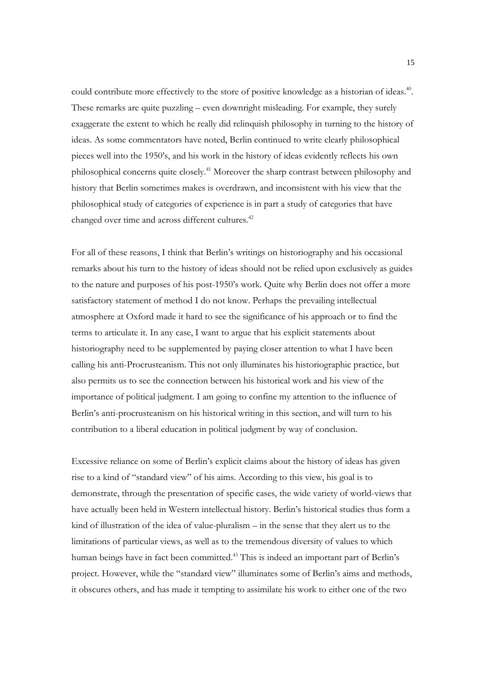could contribute more effectively to the store of positive knowledge as a historian of ideas.<sup>40</sup>. These remarks are quite puzzling – even downright misleading. For example, they surely exaggerate the extent to which he really did relinquish philosophy in turning to the history of ideas. As some commentators have noted, Berlin continued to write clearly philosophical pieces well into the 1950's, and his work in the history of ideas evidently reflects his own philosophical concerns quite closely.41 Moreover the sharp contrast between philosophy and history that Berlin sometimes makes is overdrawn, and inconsistent with his view that the philosophical study of categories of experience is in part a study of categories that have changed over time and across different cultures.<sup>42</sup>

For all of these reasons, I think that Berlin's writings on historiography and his occasional remarks about his turn to the history of ideas should not be relied upon exclusively as guides to the nature and purposes of his post-1950's work. Quite why Berlin does not offer a more satisfactory statement of method I do not know. Perhaps the prevailing intellectual atmosphere at Oxford made it hard to see the significance of his approach or to find the terms to articulate it. In any case, I want to argue that his explicit statements about historiography need to be supplemented by paying closer attention to what I have been calling his anti-Procrusteanism. This not only illuminates his historiographic practice, but also permits us to see the connection between his historical work and his view of the importance of political judgment. I am going to confine my attention to the influence of Berlin's anti-procrusteanism on his historical writing in this section, and will turn to his contribution to a liberal education in political judgment by way of conclusion.

Excessive reliance on some of Berlin's explicit claims about the history of ideas has given rise to a kind of "standard view" of his aims. According to this view, his goal is to demonstrate, through the presentation of specific cases, the wide variety of world-views that have actually been held in Western intellectual history. Berlin's historical studies thus form a kind of illustration of the idea of value-pluralism – in the sense that they alert us to the limitations of particular views, as well as to the tremendous diversity of values to which human beings have in fact been committed.<sup>43</sup> This is indeed an important part of Berlin's project. However, while the "standard view" illuminates some of Berlin's aims and methods, it obscures others, and has made it tempting to assimilate his work to either one of the two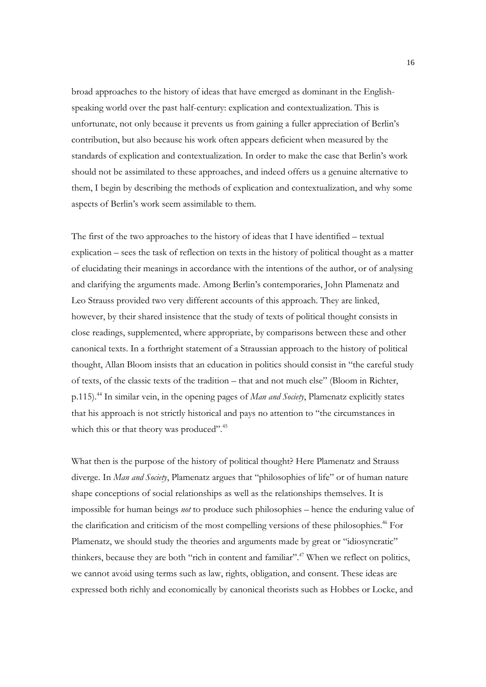broad approaches to the history of ideas that have emerged as dominant in the Englishspeaking world over the past half-century: explication and contextualization. This is unfortunate, not only because it prevents us from gaining a fuller appreciation of Berlin's contribution, but also because his work often appears deficient when measured by the standards of explication and contextualization. In order to make the case that Berlin's work should not be assimilated to these approaches, and indeed offers us a genuine alternative to them, I begin by describing the methods of explication and contextualization, and why some aspects of Berlin's work seem assimilable to them.

The first of the two approaches to the history of ideas that I have identified – textual explication – sees the task of reflection on texts in the history of political thought as a matter of elucidating their meanings in accordance with the intentions of the author, or of analysing and clarifying the arguments made. Among Berlin's contemporaries, John Plamenatz and Leo Strauss provided two very different accounts of this approach. They are linked, however, by their shared insistence that the study of texts of political thought consists in close readings, supplemented, where appropriate, by comparisons between these and other canonical texts. In a forthright statement of a Straussian approach to the history of political thought, Allan Bloom insists that an education in politics should consist in "the careful study of texts, of the classic texts of the tradition – that and not much else" (Bloom in Richter, p.115).44 In similar vein, in the opening pages of *Man and Society*, Plamenatz explicitly states that his approach is not strictly historical and pays no attention to "the circumstances in which this or that theory was produced".<sup>45</sup>

What then is the purpose of the history of political thought? Here Plamenatz and Strauss diverge. In *Man and Society*, Plamenatz argues that "philosophies of life" or of human nature shape conceptions of social relationships as well as the relationships themselves. It is impossible for human beings *not* to produce such philosophies – hence the enduring value of the clarification and criticism of the most compelling versions of these philosophies.<sup>46</sup> For Plamenatz, we should study the theories and arguments made by great or "idiosyncratic" thinkers, because they are both "rich in content and familiar".<sup>47</sup> When we reflect on politics, we cannot avoid using terms such as law, rights, obligation, and consent. These ideas are expressed both richly and economically by canonical theorists such as Hobbes or Locke, and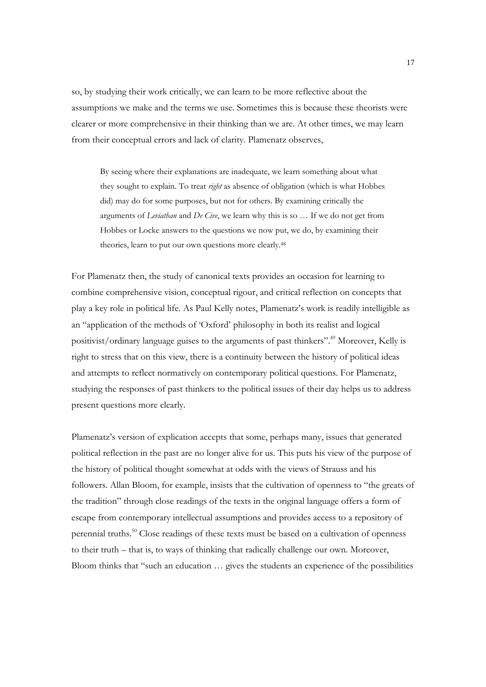so, by studying their work critically, we can learn to be more reflective about the assumptions we make and the terms we use. Sometimes this is because these theorists were clearer or more comprehensive in their thinking than we are. At other times, we may learn from their conceptual errors and lack of clarity. Plamenatz observes,

By seeing where their explanations are inadequate, we learn something about what they sought to explain. To treat *right* as absence of obligation (which is what Hobbes did) may do for some purposes, but not for others. By examining critically the arguments of *Leviathan* and *De Cive*, we learn why this is so … If we do not get from Hobbes or Locke answers to the questions we now put, we do, by examining their theories, learn to put our own questions more clearly.<sup>48</sup>

For Plamenatz then, the study of canonical texts provides an occasion for learning to combine comprehensive vision, conceptual rigour, and critical reflection on concepts that play a key role in political life. As Paul Kelly notes, Plamenatz's work is readily intelligible as an "application of the methods of 'Oxford' philosophy in both its realist and logical positivist/ordinary language guises to the arguments of past thinkers".49 Moreover, Kelly is right to stress that on this view, there is a continuity between the history of political ideas and attempts to reflect normatively on contemporary political questions. For Plamenatz, studying the responses of past thinkers to the political issues of their day helps us to address present questions more clearly.

Plamenatz's version of explication accepts that some, perhaps many, issues that generated political reflection in the past are no longer alive for us. This puts his view of the purpose of the history of political thought somewhat at odds with the views of Strauss and his followers. Allan Bloom, for example, insists that the cultivation of openness to "the greats of the tradition" through close readings of the texts in the original language offers a form of escape from contemporary intellectual assumptions and provides access to a repository of perennial truths.<sup>50</sup> Close readings of these texts must be based on a cultivation of openness to their truth – that is, to ways of thinking that radically challenge our own. Moreover, Bloom thinks that "such an education … gives the students an experience of the possibilities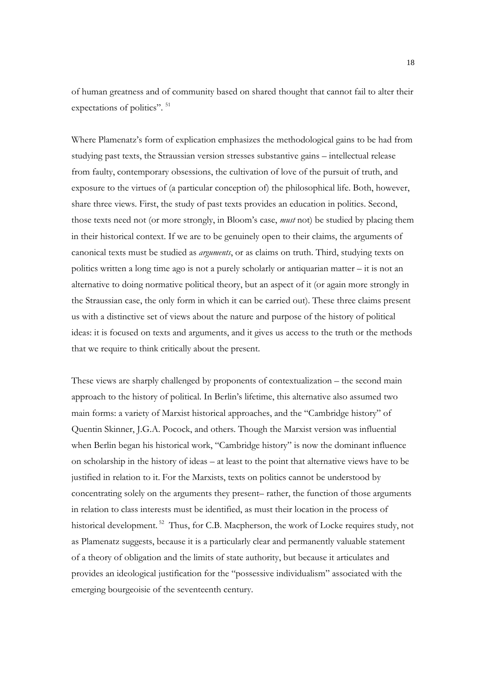of human greatness and of community based on shared thought that cannot fail to alter their expectations of politics". <sup>51</sup>

Where Plamenatz's form of explication emphasizes the methodological gains to be had from studying past texts, the Straussian version stresses substantive gains – intellectual release from faulty, contemporary obsessions, the cultivation of love of the pursuit of truth, and exposure to the virtues of (a particular conception of) the philosophical life. Both, however, share three views. First, the study of past texts provides an education in politics. Second, those texts need not (or more strongly, in Bloom's case, *must* not) be studied by placing them in their historical context. If we are to be genuinely open to their claims, the arguments of canonical texts must be studied as *arguments*, or as claims on truth. Third, studying texts on politics written a long time ago is not a purely scholarly or antiquarian matter – it is not an alternative to doing normative political theory, but an aspect of it (or again more strongly in the Straussian case, the only form in which it can be carried out). These three claims present us with a distinctive set of views about the nature and purpose of the history of political ideas: it is focused on texts and arguments, and it gives us access to the truth or the methods that we require to think critically about the present.

These views are sharply challenged by proponents of contextualization – the second main approach to the history of political. In Berlin's lifetime, this alternative also assumed two main forms: a variety of Marxist historical approaches, and the "Cambridge history" of Quentin Skinner, J.G.A. Pocock, and others. Though the Marxist version was influential when Berlin began his historical work, "Cambridge history" is now the dominant influence on scholarship in the history of ideas – at least to the point that alternative views have to be justified in relation to it. For the Marxists, texts on politics cannot be understood by concentrating solely on the arguments they present– rather, the function of those arguments in relation to class interests must be identified, as must their location in the process of historical development.<sup>52</sup> Thus, for C.B. Macpherson, the work of Locke requires study, not as Plamenatz suggests, because it is a particularly clear and permanently valuable statement of a theory of obligation and the limits of state authority, but because it articulates and provides an ideological justification for the "possessive individualism" associated with the emerging bourgeoisie of the seventeenth century.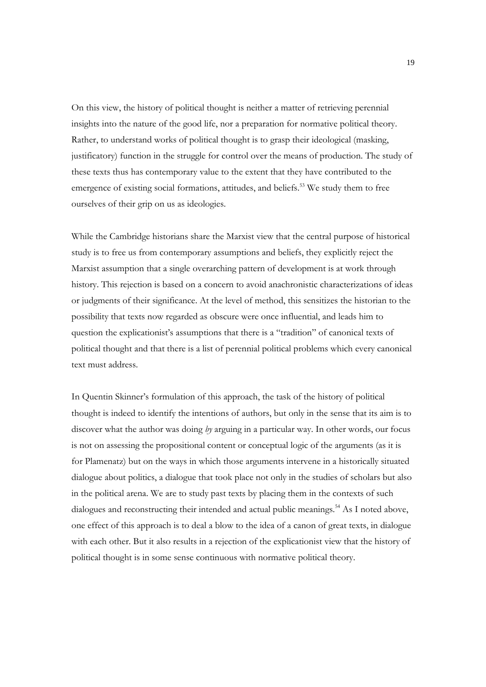On this view, the history of political thought is neither a matter of retrieving perennial insights into the nature of the good life, nor a preparation for normative political theory. Rather, to understand works of political thought is to grasp their ideological (masking, justificatory) function in the struggle for control over the means of production. The study of these texts thus has contemporary value to the extent that they have contributed to the emergence of existing social formations, attitudes, and beliefs.<sup>53</sup> We study them to free ourselves of their grip on us as ideologies.

While the Cambridge historians share the Marxist view that the central purpose of historical study is to free us from contemporary assumptions and beliefs, they explicitly reject the Marxist assumption that a single overarching pattern of development is at work through history. This rejection is based on a concern to avoid anachronistic characterizations of ideas or judgments of their significance. At the level of method, this sensitizes the historian to the possibility that texts now regarded as obscure were once influential, and leads him to question the explicationist's assumptions that there is a "tradition" of canonical texts of political thought and that there is a list of perennial political problems which every canonical text must address.

In Quentin Skinner's formulation of this approach, the task of the history of political thought is indeed to identify the intentions of authors, but only in the sense that its aim is to discover what the author was doing *by* arguing in a particular way. In other words, our focus is not on assessing the propositional content or conceptual logic of the arguments (as it is for Plamenatz) but on the ways in which those arguments intervene in a historically situated dialogue about politics, a dialogue that took place not only in the studies of scholars but also in the political arena. We are to study past texts by placing them in the contexts of such dialogues and reconstructing their intended and actual public meanings.<sup>54</sup> As I noted above, one effect of this approach is to deal a blow to the idea of a canon of great texts, in dialogue with each other. But it also results in a rejection of the explicationist view that the history of political thought is in some sense continuous with normative political theory.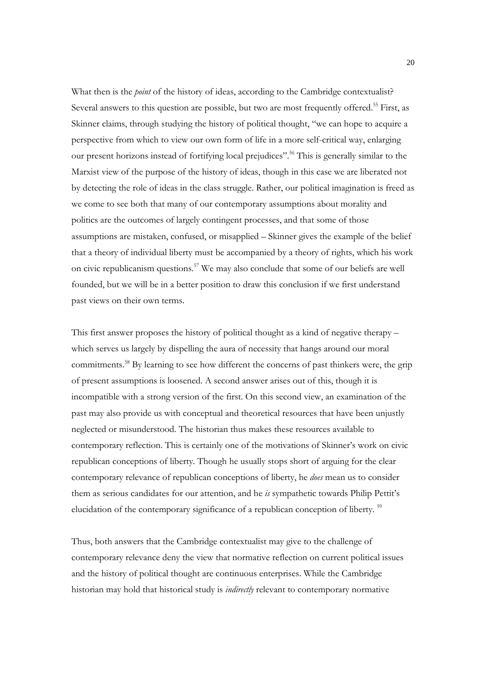What then is the *point* of the history of ideas, according to the Cambridge contextualist? Several answers to this question are possible, but two are most frequently offered.<sup>55</sup> First, as Skinner claims, through studying the history of political thought, "we can hope to acquire a perspective from which to view our own form of life in a more self-critical way, enlarging our present horizons instead of fortifying local prejudices".<sup>56</sup> This is generally similar to the Marxist view of the purpose of the history of ideas, though in this case we are liberated not by detecting the role of ideas in the class struggle. Rather, our political imagination is freed as we come to see both that many of our contemporary assumptions about morality and politics are the outcomes of largely contingent processes, and that some of those assumptions are mistaken, confused, or misapplied – Skinner gives the example of the belief that a theory of individual liberty must be accompanied by a theory of rights, which his work on civic republicanism questions.57 We may also conclude that some of our beliefs are well founded, but we will be in a better position to draw this conclusion if we first understand past views on their own terms.

This first answer proposes the history of political thought as a kind of negative therapy – which serves us largely by dispelling the aura of necessity that hangs around our moral commitments.<sup>58</sup> By learning to see how different the concerns of past thinkers were, the grip of present assumptions is loosened. A second answer arises out of this, though it is incompatible with a strong version of the first. On this second view, an examination of the past may also provide us with conceptual and theoretical resources that have been unjustly neglected or misunderstood. The historian thus makes these resources available to contemporary reflection. This is certainly one of the motivations of Skinner's work on civic republican conceptions of liberty. Though he usually stops short of arguing for the clear contemporary relevance of republican conceptions of liberty, he *does* mean us to consider them as serious candidates for our attention, and he *is* sympathetic towards Philip Pettit's elucidation of the contemporary significance of a republican conception of liberty.<sup>59</sup>

Thus, both answers that the Cambridge contextualist may give to the challenge of contemporary relevance deny the view that normative reflection on current political issues and the history of political thought are continuous enterprises. While the Cambridge historian may hold that historical study is *indirectly* relevant to contemporary normative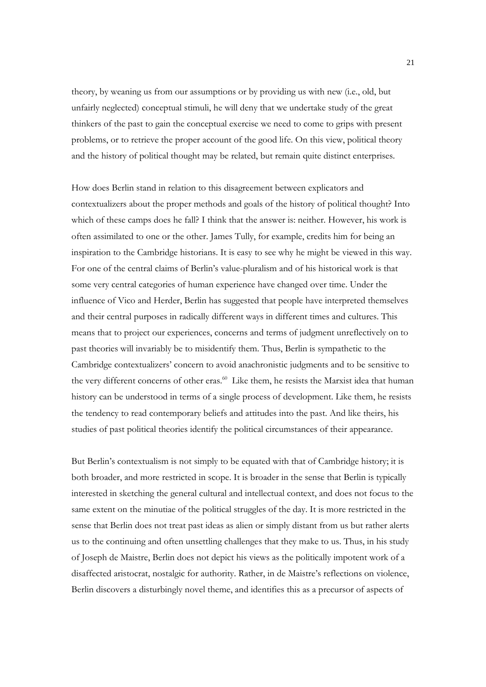theory, by weaning us from our assumptions or by providing us with new (i.e., old, but unfairly neglected) conceptual stimuli, he will deny that we undertake study of the great thinkers of the past to gain the conceptual exercise we need to come to grips with present problems, or to retrieve the proper account of the good life. On this view, political theory and the history of political thought may be related, but remain quite distinct enterprises.

How does Berlin stand in relation to this disagreement between explicators and contextualizers about the proper methods and goals of the history of political thought? Into which of these camps does he fall? I think that the answer is: neither. However, his work is often assimilated to one or the other. James Tully, for example, credits him for being an inspiration to the Cambridge historians. It is easy to see why he might be viewed in this way. For one of the central claims of Berlin's value-pluralism and of his historical work is that some very central categories of human experience have changed over time. Under the influence of Vico and Herder, Berlin has suggested that people have interpreted themselves and their central purposes in radically different ways in different times and cultures. This means that to project our experiences, concerns and terms of judgment unreflectively on to past theories will invariably be to misidentify them. Thus, Berlin is sympathetic to the Cambridge contextualizers' concern to avoid anachronistic judgments and to be sensitive to the very different concerns of other eras.<sup>60</sup> Like them, he resists the Marxist idea that human history can be understood in terms of a single process of development. Like them, he resists the tendency to read contemporary beliefs and attitudes into the past. And like theirs, his studies of past political theories identify the political circumstances of their appearance.

But Berlin's contextualism is not simply to be equated with that of Cambridge history; it is both broader, and more restricted in scope. It is broader in the sense that Berlin is typically interested in sketching the general cultural and intellectual context, and does not focus to the same extent on the minutiae of the political struggles of the day. It is more restricted in the sense that Berlin does not treat past ideas as alien or simply distant from us but rather alerts us to the continuing and often unsettling challenges that they make to us. Thus, in his study of Joseph de Maistre, Berlin does not depict his views as the politically impotent work of a disaffected aristocrat, nostalgic for authority. Rather, in de Maistre's reflections on violence, Berlin discovers a disturbingly novel theme, and identifies this as a precursor of aspects of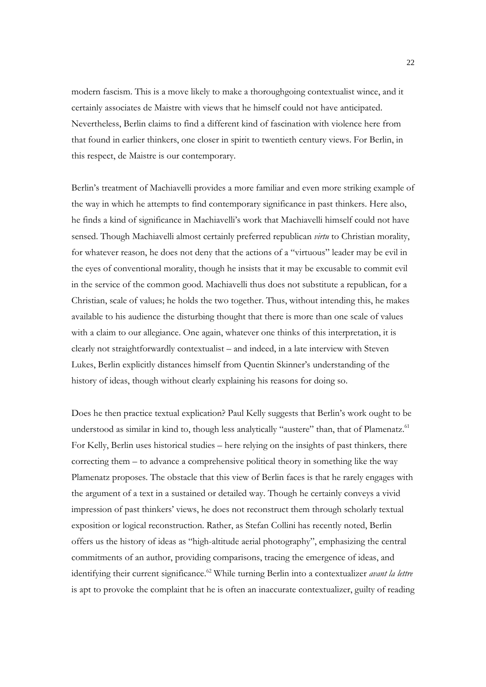modern fascism. This is a move likely to make a thoroughgoing contextualist wince, and it certainly associates de Maistre with views that he himself could not have anticipated. Nevertheless, Berlin claims to find a different kind of fascination with violence here from that found in earlier thinkers, one closer in spirit to twentieth century views. For Berlin, in this respect, de Maistre is our contemporary.

Berlin's treatment of Machiavelli provides a more familiar and even more striking example of the way in which he attempts to find contemporary significance in past thinkers. Here also, he finds a kind of significance in Machiavelli's work that Machiavelli himself could not have sensed. Though Machiavelli almost certainly preferred republican *virtu* to Christian morality, for whatever reason, he does not deny that the actions of a "virtuous" leader may be evil in the eyes of conventional morality, though he insists that it may be excusable to commit evil in the service of the common good. Machiavelli thus does not substitute a republican, for a Christian, scale of values; he holds the two together. Thus, without intending this, he makes available to his audience the disturbing thought that there is more than one scale of values with a claim to our allegiance. One again, whatever one thinks of this interpretation, it is clearly not straightforwardly contextualist – and indeed, in a late interview with Steven Lukes, Berlin explicitly distances himself from Quentin Skinner's understanding of the history of ideas, though without clearly explaining his reasons for doing so.

Does he then practice textual explication? Paul Kelly suggests that Berlin's work ought to be understood as similar in kind to, though less analytically "austere" than, that of Plamenatz.<sup>61</sup> For Kelly, Berlin uses historical studies – here relying on the insights of past thinkers, there correcting them – to advance a comprehensive political theory in something like the way Plamenatz proposes. The obstacle that this view of Berlin faces is that he rarely engages with the argument of a text in a sustained or detailed way. Though he certainly conveys a vivid impression of past thinkers' views, he does not reconstruct them through scholarly textual exposition or logical reconstruction. Rather, as Stefan Collini has recently noted, Berlin offers us the history of ideas as "high-altitude aerial photography", emphasizing the central commitments of an author, providing comparisons, tracing the emergence of ideas, and identifying their current significance.<sup>62</sup> While turning Berlin into a contextualizer *avant la lettre* is apt to provoke the complaint that he is often an inaccurate contextualizer, guilty of reading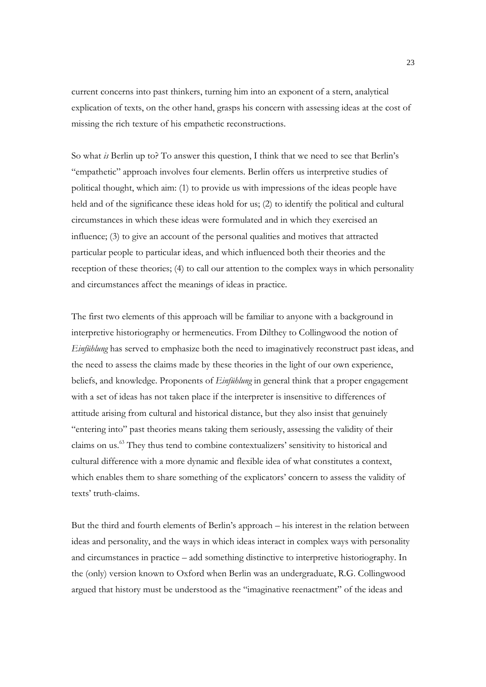current concerns into past thinkers, turning him into an exponent of a stern, analytical explication of texts, on the other hand, grasps his concern with assessing ideas at the cost of missing the rich texture of his empathetic reconstructions.

So what *is* Berlin up to? To answer this question, I think that we need to see that Berlin's "empathetic" approach involves four elements. Berlin offers us interpretive studies of political thought, which aim: (1) to provide us with impressions of the ideas people have held and of the significance these ideas hold for us; (2) to identify the political and cultural circumstances in which these ideas were formulated and in which they exercised an influence; (3) to give an account of the personal qualities and motives that attracted particular people to particular ideas, and which influenced both their theories and the reception of these theories; (4) to call our attention to the complex ways in which personality and circumstances affect the meanings of ideas in practice.

The first two elements of this approach will be familiar to anyone with a background in interpretive historiography or hermeneutics. From Dilthey to Collingwood the notion of *Einfühlung* has served to emphasize both the need to imaginatively reconstruct past ideas, and the need to assess the claims made by these theories in the light of our own experience, beliefs, and knowledge. Proponents of *Einfühlung* in general think that a proper engagement with a set of ideas has not taken place if the interpreter is insensitive to differences of attitude arising from cultural and historical distance, but they also insist that genuinely "entering into" past theories means taking them seriously, assessing the validity of their claims on us.<sup>63</sup> They thus tend to combine contextualizers' sensitivity to historical and cultural difference with a more dynamic and flexible idea of what constitutes a context, which enables them to share something of the explicators' concern to assess the validity of texts' truth-claims.

But the third and fourth elements of Berlin's approach – his interest in the relation between ideas and personality, and the ways in which ideas interact in complex ways with personality and circumstances in practice – add something distinctive to interpretive historiography. In the (only) version known to Oxford when Berlin was an undergraduate, R.G. Collingwood argued that history must be understood as the "imaginative reenactment" of the ideas and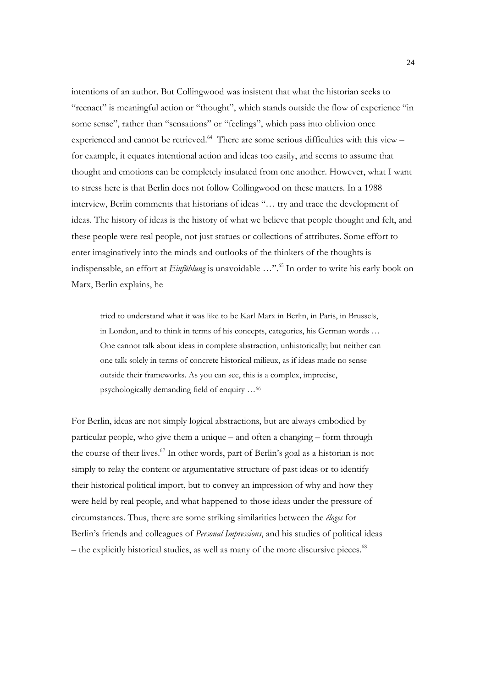intentions of an author. But Collingwood was insistent that what the historian seeks to "reenact" is meaningful action or "thought", which stands outside the flow of experience "in some sense", rather than "sensations" or "feelings", which pass into oblivion once experienced and cannot be retrieved.<sup>64</sup> There are some serious difficulties with this view – for example, it equates intentional action and ideas too easily, and seems to assume that thought and emotions can be completely insulated from one another. However, what I want to stress here is that Berlin does not follow Collingwood on these matters. In a 1988 interview, Berlin comments that historians of ideas "… try and trace the development of ideas. The history of ideas is the history of what we believe that people thought and felt, and these people were real people, not just statues or collections of attributes. Some effort to enter imaginatively into the minds and outlooks of the thinkers of the thoughts is indispensable, an effort at *Einfühlung* is unavoidable …".65 In order to write his early book on Marx, Berlin explains, he

tried to understand what it was like to be Karl Marx in Berlin, in Paris, in Brussels, in London, and to think in terms of his concepts, categories, his German words … One cannot talk about ideas in complete abstraction, unhistorically; but neither can one talk solely in terms of concrete historical milieux, as if ideas made no sense outside their frameworks. As you can see, this is a complex, imprecise, psychologically demanding field of enquiry …66

For Berlin, ideas are not simply logical abstractions, but are always embodied by particular people, who give them a unique – and often a changing – form through the course of their lives.<sup>67</sup> In other words, part of Berlin's goal as a historian is not simply to relay the content or argumentative structure of past ideas or to identify their historical political import, but to convey an impression of why and how they were held by real people, and what happened to those ideas under the pressure of circumstances. Thus, there are some striking similarities between the *éloges* for Berlin's friends and colleagues of *Personal Impressions*, and his studies of political ideas  $-$  the explicitly historical studies, as well as many of the more discursive pieces.<sup>68</sup>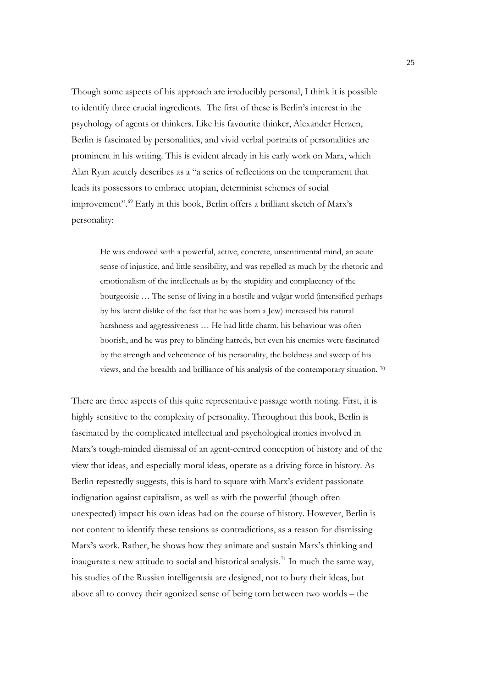Though some aspects of his approach are irreducibly personal, I think it is possible to identify three crucial ingredients. The first of these is Berlin's interest in the psychology of agents or thinkers. Like his favourite thinker, Alexander Herzen, Berlin is fascinated by personalities, and vivid verbal portraits of personalities are prominent in his writing. This is evident already in his early work on Marx, which Alan Ryan acutely describes as a "a series of reflections on the temperament that leads its possessors to embrace utopian, determinist schemes of social improvement".69 Early in this book, Berlin offers a brilliant sketch of Marx's personality:

He was endowed with a powerful, active, concrete, unsentimental mind, an acute sense of injustice, and little sensibility, and was repelled as much by the rhetoric and emotionalism of the intellectuals as by the stupidity and complacency of the bourgeoisie … The sense of living in a hostile and vulgar world (intensified perhaps by his latent dislike of the fact that he was born a Jew) increased his natural harshness and aggressiveness … He had little charm, his behaviour was often boorish, and he was prey to blinding hatreds, but even his enemies were fascinated by the strength and vehemence of his personality, the boldness and sweep of his views, and the breadth and brilliance of his analysis of the contemporary situation. 70

There are three aspects of this quite representative passage worth noting. First, it is highly sensitive to the complexity of personality. Throughout this book, Berlin is fascinated by the complicated intellectual and psychological ironies involved in Marx's tough-minded dismissal of an agent-centred conception of history and of the view that ideas, and especially moral ideas, operate as a driving force in history. As Berlin repeatedly suggests, this is hard to square with Marx's evident passionate indignation against capitalism, as well as with the powerful (though often unexpected) impact his own ideas had on the course of history. However, Berlin is not content to identify these tensions as contradictions, as a reason for dismissing Marx's work. Rather, he shows how they animate and sustain Marx's thinking and inaugurate a new attitude to social and historical analysis.<sup>71</sup> In much the same way, his studies of the Russian intelligentsia are designed, not to bury their ideas, but above all to convey their agonized sense of being torn between two worlds – the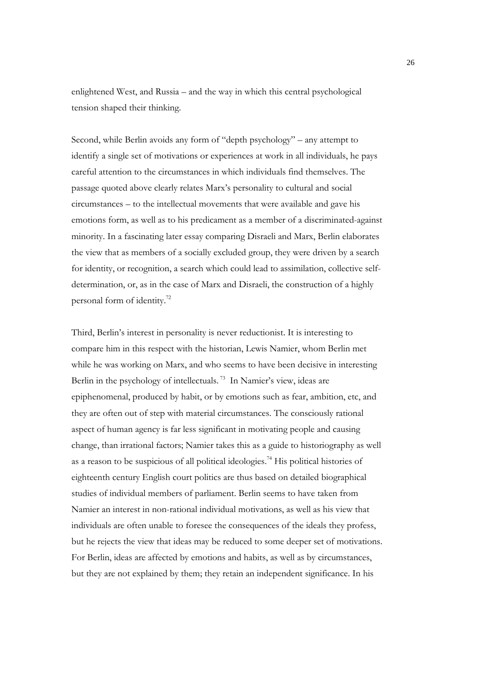enlightened West, and Russia – and the way in which this central psychological tension shaped their thinking.

Second, while Berlin avoids any form of "depth psychology" – any attempt to identify a single set of motivations or experiences at work in all individuals, he pays careful attention to the circumstances in which individuals find themselves. The passage quoted above clearly relates Marx's personality to cultural and social circumstances – to the intellectual movements that were available and gave his emotions form, as well as to his predicament as a member of a discriminated-against minority. In a fascinating later essay comparing Disraeli and Marx, Berlin elaborates the view that as members of a socially excluded group, they were driven by a search for identity, or recognition, a search which could lead to assimilation, collective selfdetermination, or, as in the case of Marx and Disraeli, the construction of a highly personal form of identity.72

Third, Berlin's interest in personality is never reductionist. It is interesting to compare him in this respect with the historian, Lewis Namier, whom Berlin met while he was working on Marx, and who seems to have been decisive in interesting Berlin in the psychology of intellectuals.<sup>73</sup> In Namier's view, ideas are epiphenomenal, produced by habit, or by emotions such as fear, ambition, etc, and they are often out of step with material circumstances. The consciously rational aspect of human agency is far less significant in motivating people and causing change, than irrational factors; Namier takes this as a guide to historiography as well as a reason to be suspicious of all political ideologies.74 His political histories of eighteenth century English court politics are thus based on detailed biographical studies of individual members of parliament. Berlin seems to have taken from Namier an interest in non-rational individual motivations, as well as his view that individuals are often unable to foresee the consequences of the ideals they profess, but he rejects the view that ideas may be reduced to some deeper set of motivations. For Berlin, ideas are affected by emotions and habits, as well as by circumstances, but they are not explained by them; they retain an independent significance. In his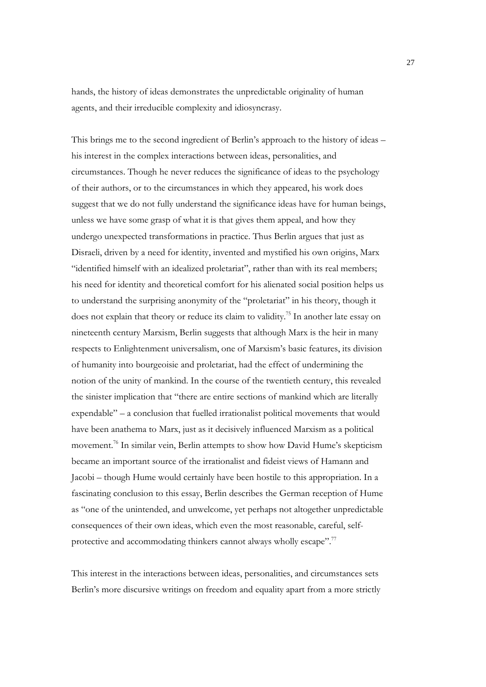hands, the history of ideas demonstrates the unpredictable originality of human agents, and their irreducible complexity and idiosyncrasy.

This brings me to the second ingredient of Berlin's approach to the history of ideas – his interest in the complex interactions between ideas, personalities, and circumstances. Though he never reduces the significance of ideas to the psychology of their authors, or to the circumstances in which they appeared, his work does suggest that we do not fully understand the significance ideas have for human beings, unless we have some grasp of what it is that gives them appeal, and how they undergo unexpected transformations in practice. Thus Berlin argues that just as Disraeli, driven by a need for identity, invented and mystified his own origins, Marx "identified himself with an idealized proletariat", rather than with its real members; his need for identity and theoretical comfort for his alienated social position helps us to understand the surprising anonymity of the "proletariat" in his theory, though it does not explain that theory or reduce its claim to validity.75 In another late essay on nineteenth century Marxism, Berlin suggests that although Marx is the heir in many respects to Enlightenment universalism, one of Marxism's basic features, its division of humanity into bourgeoisie and proletariat, had the effect of undermining the notion of the unity of mankind. In the course of the twentieth century, this revealed the sinister implication that "there are entire sections of mankind which are literally expendable" – a conclusion that fuelled irrationalist political movements that would have been anathema to Marx, just as it decisively influenced Marxism as a political movement.76 In similar vein, Berlin attempts to show how David Hume's skepticism became an important source of the irrationalist and fideist views of Hamann and Jacobi – though Hume would certainly have been hostile to this appropriation. In a fascinating conclusion to this essay, Berlin describes the German reception of Hume as "one of the unintended, and unwelcome, yet perhaps not altogether unpredictable consequences of their own ideas, which even the most reasonable, careful, selfprotective and accommodating thinkers cannot always wholly escape".<sup>77</sup>

This interest in the interactions between ideas, personalities, and circumstances sets Berlin's more discursive writings on freedom and equality apart from a more strictly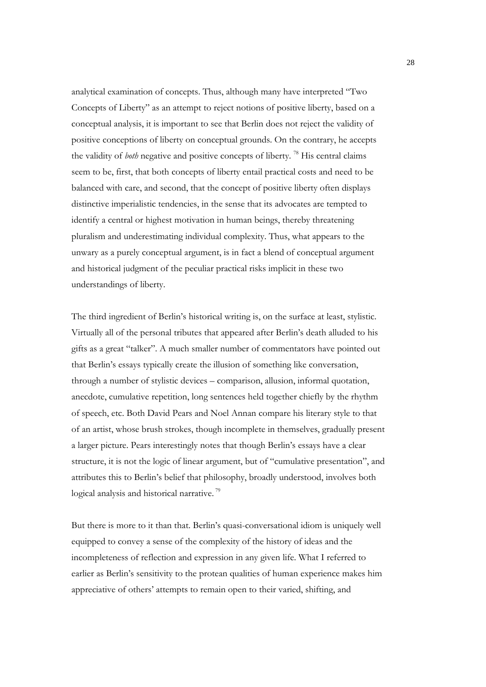analytical examination of concepts. Thus, although many have interpreted "Two Concepts of Liberty" as an attempt to reject notions of positive liberty, based on a conceptual analysis, it is important to see that Berlin does not reject the validity of positive conceptions of liberty on conceptual grounds. On the contrary, he accepts the validity of *both* negative and positive concepts of liberty. 78 His central claims seem to be, first, that both concepts of liberty entail practical costs and need to be balanced with care, and second, that the concept of positive liberty often displays distinctive imperialistic tendencies, in the sense that its advocates are tempted to identify a central or highest motivation in human beings, thereby threatening pluralism and underestimating individual complexity. Thus, what appears to the unwary as a purely conceptual argument, is in fact a blend of conceptual argument and historical judgment of the peculiar practical risks implicit in these two understandings of liberty.

The third ingredient of Berlin's historical writing is, on the surface at least, stylistic. Virtually all of the personal tributes that appeared after Berlin's death alluded to his gifts as a great "talker". A much smaller number of commentators have pointed out that Berlin's essays typically create the illusion of something like conversation, through a number of stylistic devices – comparison, allusion, informal quotation, anecdote, cumulative repetition, long sentences held together chiefly by the rhythm of speech, etc. Both David Pears and Noel Annan compare his literary style to that of an artist, whose brush strokes, though incomplete in themselves, gradually present a larger picture. Pears interestingly notes that though Berlin's essays have a clear structure, it is not the logic of linear argument, but of "cumulative presentation", and attributes this to Berlin's belief that philosophy, broadly understood, involves both logical analysis and historical narrative.<sup>79</sup>

But there is more to it than that. Berlin's quasi-conversational idiom is uniquely well equipped to convey a sense of the complexity of the history of ideas and the incompleteness of reflection and expression in any given life. What I referred to earlier as Berlin's sensitivity to the protean qualities of human experience makes him appreciative of others' attempts to remain open to their varied, shifting, and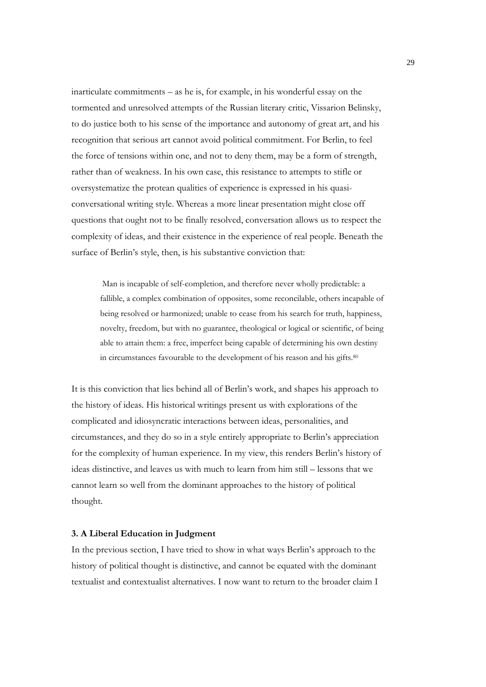inarticulate commitments – as he is, for example, in his wonderful essay on the tormented and unresolved attempts of the Russian literary critic, Vissarion Belinsky, to do justice both to his sense of the importance and autonomy of great art, and his recognition that serious art cannot avoid political commitment. For Berlin, to feel the force of tensions within one, and not to deny them, may be a form of strength, rather than of weakness. In his own case, this resistance to attempts to stifle or oversystematize the protean qualities of experience is expressed in his quasiconversational writing style. Whereas a more linear presentation might close off questions that ought not to be finally resolved, conversation allows us to respect the complexity of ideas, and their existence in the experience of real people. Beneath the surface of Berlin's style, then, is his substantive conviction that:

 Man is incapable of self-completion, and therefore never wholly predictable: a fallible, a complex combination of opposites, some reconcilable, others incapable of being resolved or harmonized; unable to cease from his search for truth, happiness, novelty, freedom, but with no guarantee, theological or logical or scientific, of being able to attain them: a free, imperfect being capable of determining his own destiny in circumstances favourable to the development of his reason and his gifts.<sup>80</sup>

It is this conviction that lies behind all of Berlin's work, and shapes his approach to the history of ideas. His historical writings present us with explorations of the complicated and idiosyncratic interactions between ideas, personalities, and circumstances, and they do so in a style entirely appropriate to Berlin's appreciation for the complexity of human experience. In my view, this renders Berlin's history of ideas distinctive, and leaves us with much to learn from him still – lessons that we cannot learn so well from the dominant approaches to the history of political thought.

## **3. A Liberal Education in Judgment**

In the previous section, I have tried to show in what ways Berlin's approach to the history of political thought is distinctive, and cannot be equated with the dominant textualist and contextualist alternatives. I now want to return to the broader claim I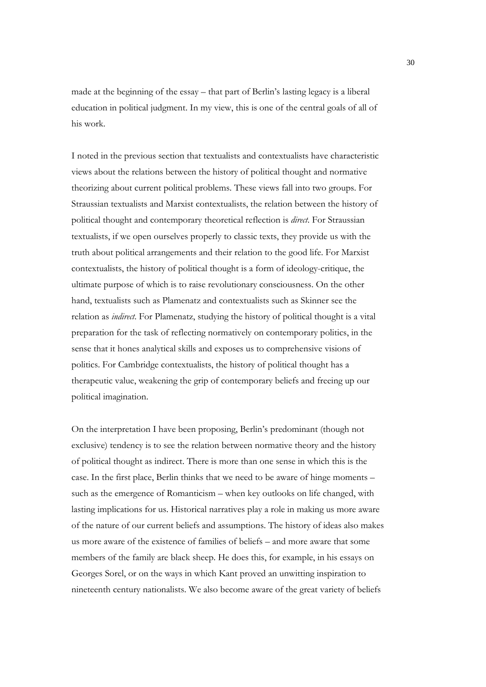made at the beginning of the essay – that part of Berlin's lasting legacy is a liberal education in political judgment. In my view, this is one of the central goals of all of his work.

I noted in the previous section that textualists and contextualists have characteristic views about the relations between the history of political thought and normative theorizing about current political problems. These views fall into two groups. For Straussian textualists and Marxist contextualists, the relation between the history of political thought and contemporary theoretical reflection is *direct*. For Straussian textualists, if we open ourselves properly to classic texts, they provide us with the truth about political arrangements and their relation to the good life. For Marxist contextualists, the history of political thought is a form of ideology-critique, the ultimate purpose of which is to raise revolutionary consciousness. On the other hand, textualists such as Plamenatz and contextualists such as Skinner see the relation as *indirect*. For Plamenatz, studying the history of political thought is a vital preparation for the task of reflecting normatively on contemporary politics, in the sense that it hones analytical skills and exposes us to comprehensive visions of politics. For Cambridge contextualists, the history of political thought has a therapeutic value, weakening the grip of contemporary beliefs and freeing up our political imagination.

On the interpretation I have been proposing, Berlin's predominant (though not exclusive) tendency is to see the relation between normative theory and the history of political thought as indirect. There is more than one sense in which this is the case. In the first place, Berlin thinks that we need to be aware of hinge moments – such as the emergence of Romanticism – when key outlooks on life changed, with lasting implications for us. Historical narratives play a role in making us more aware of the nature of our current beliefs and assumptions. The history of ideas also makes us more aware of the existence of families of beliefs – and more aware that some members of the family are black sheep. He does this, for example, in his essays on Georges Sorel, or on the ways in which Kant proved an unwitting inspiration to nineteenth century nationalists. We also become aware of the great variety of beliefs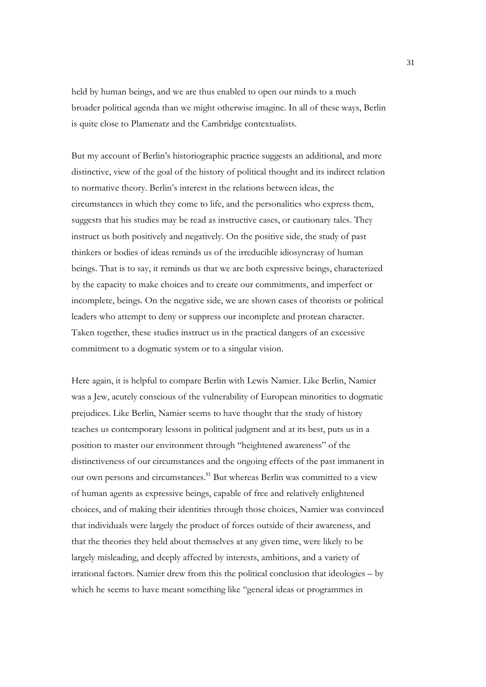held by human beings, and we are thus enabled to open our minds to a much broader political agenda than we might otherwise imagine. In all of these ways, Berlin is quite close to Plamenatz and the Cambridge contextualists.

But my account of Berlin's historiographic practice suggests an additional, and more distinctive, view of the goal of the history of political thought and its indirect relation to normative theory. Berlin's interest in the relations between ideas, the circumstances in which they come to life, and the personalities who express them, suggests that his studies may be read as instructive cases, or cautionary tales. They instruct us both positively and negatively. On the positive side, the study of past thinkers or bodies of ideas reminds us of the irreducible idiosyncrasy of human beings. That is to say, it reminds us that we are both expressive beings, characterized by the capacity to make choices and to create our commitments, and imperfect or incomplete, beings. On the negative side, we are shown cases of theorists or political leaders who attempt to deny or suppress our incomplete and protean character. Taken together, these studies instruct us in the practical dangers of an excessive commitment to a dogmatic system or to a singular vision.

Here again, it is helpful to compare Berlin with Lewis Namier. Like Berlin, Namier was a Jew, acutely conscious of the vulnerability of European minorities to dogmatic prejudices. Like Berlin, Namier seems to have thought that the study of history teaches us contemporary lessons in political judgment and at its best, puts us in a position to master our environment through "heightened awareness" of the distinctiveness of our circumstances and the ongoing effects of the past immanent in our own persons and circumstances.<sup>81</sup> But whereas Berlin was committed to a view of human agents as expressive beings, capable of free and relatively enlightened choices, and of making their identities through those choices, Namier was convinced that individuals were largely the product of forces outside of their awareness, and that the theories they held about themselves at any given time, were likely to be largely misleading, and deeply affected by interests, ambitions, and a variety of irrational factors. Namier drew from this the political conclusion that ideologies – by which he seems to have meant something like "general ideas or programmes in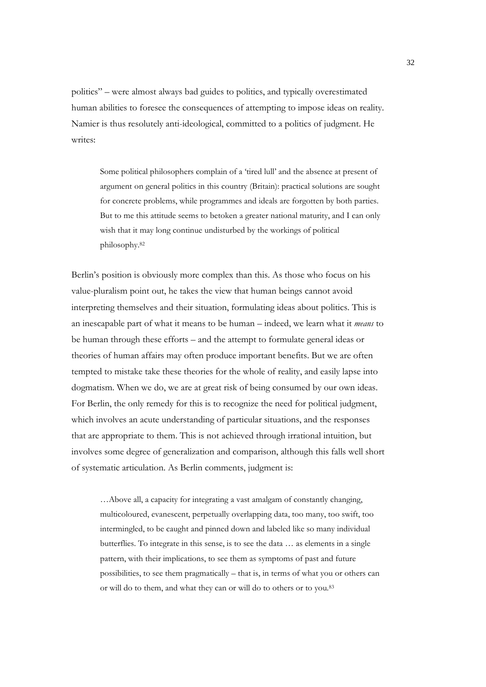politics" – were almost always bad guides to politics, and typically overestimated human abilities to foresee the consequences of attempting to impose ideas on reality. Namier is thus resolutely anti-ideological, committed to a politics of judgment. He writes:

Some political philosophers complain of a 'tired lull' and the absence at present of argument on general politics in this country (Britain): practical solutions are sought for concrete problems, while programmes and ideals are forgotten by both parties. But to me this attitude seems to betoken a greater national maturity, and I can only wish that it may long continue undisturbed by the workings of political philosophy.82

Berlin's position is obviously more complex than this. As those who focus on his value-pluralism point out, he takes the view that human beings cannot avoid interpreting themselves and their situation, formulating ideas about politics. This is an inescapable part of what it means to be human – indeed, we learn what it *means* to be human through these efforts – and the attempt to formulate general ideas or theories of human affairs may often produce important benefits. But we are often tempted to mistake take these theories for the whole of reality, and easily lapse into dogmatism. When we do, we are at great risk of being consumed by our own ideas. For Berlin, the only remedy for this is to recognize the need for political judgment, which involves an acute understanding of particular situations, and the responses that are appropriate to them. This is not achieved through irrational intuition, but involves some degree of generalization and comparison, although this falls well short of systematic articulation. As Berlin comments, judgment is:

…Above all, a capacity for integrating a vast amalgam of constantly changing, multicoloured, evanescent, perpetually overlapping data, too many, too swift, too intermingled, to be caught and pinned down and labeled like so many individual butterflies. To integrate in this sense, is to see the data … as elements in a single pattern, with their implications, to see them as symptoms of past and future possibilities, to see them pragmatically – that is, in terms of what you or others can or will do to them, and what they can or will do to others or to you.83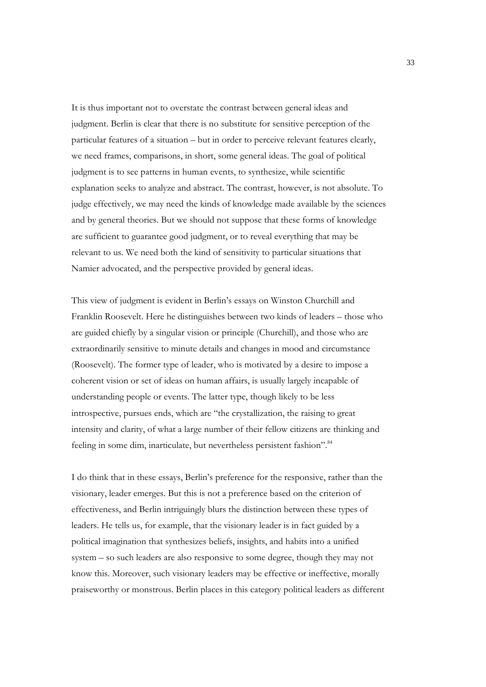It is thus important not to overstate the contrast between general ideas and judgment. Berlin is clear that there is no substitute for sensitive perception of the particular features of a situation – but in order to perceive relevant features clearly, we need frames, comparisons, in short, some general ideas. The goal of political judgment is to see patterns in human events, to synthesize, while scientific explanation seeks to analyze and abstract. The contrast, however, is not absolute. To judge effectively, we may need the kinds of knowledge made available by the sciences and by general theories. But we should not suppose that these forms of knowledge are sufficient to guarantee good judgment, or to reveal everything that may be relevant to us. We need both the kind of sensitivity to particular situations that Namier advocated, and the perspective provided by general ideas.

This view of judgment is evident in Berlin's essays on Winston Churchill and Franklin Roosevelt. Here he distinguishes between two kinds of leaders – those who are guided chiefly by a singular vision or principle (Churchill), and those who are extraordinarily sensitive to minute details and changes in mood and circumstance (Roosevelt). The former type of leader, who is motivated by a desire to impose a coherent vision or set of ideas on human affairs, is usually largely incapable of understanding people or events. The latter type, though likely to be less introspective, pursues ends, which are "the crystallization, the raising to great intensity and clarity, of what a large number of their fellow citizens are thinking and feeling in some dim, inarticulate, but nevertheless persistent fashion".<sup>84</sup>

I do think that in these essays, Berlin's preference for the responsive, rather than the visionary, leader emerges. But this is not a preference based on the criterion of effectiveness, and Berlin intriguingly blurs the distinction between these types of leaders. He tells us, for example, that the visionary leader is in fact guided by a political imagination that synthesizes beliefs, insights, and habits into a unified system – so such leaders are also responsive to some degree, though they may not know this. Moreover, such visionary leaders may be effective or ineffective, morally praiseworthy or monstrous. Berlin places in this category political leaders as different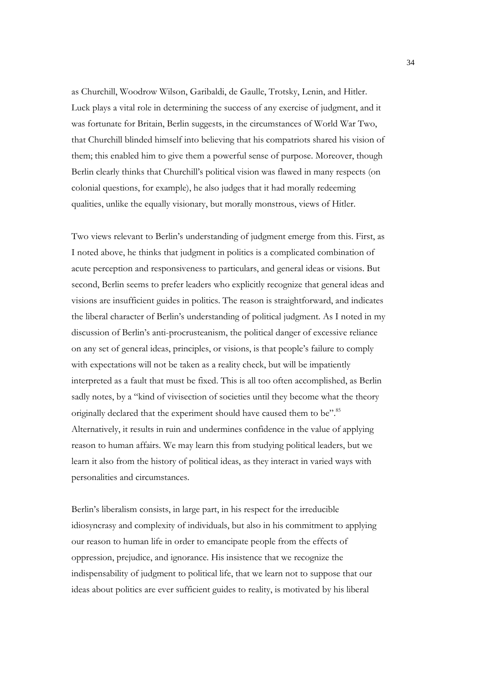as Churchill, Woodrow Wilson, Garibaldi, de Gaulle, Trotsky, Lenin, and Hitler. Luck plays a vital role in determining the success of any exercise of judgment, and it was fortunate for Britain, Berlin suggests, in the circumstances of World War Two, that Churchill blinded himself into believing that his compatriots shared his vision of them; this enabled him to give them a powerful sense of purpose. Moreover, though Berlin clearly thinks that Churchill's political vision was flawed in many respects (on colonial questions, for example), he also judges that it had morally redeeming qualities, unlike the equally visionary, but morally monstrous, views of Hitler.

Two views relevant to Berlin's understanding of judgment emerge from this. First, as I noted above, he thinks that judgment in politics is a complicated combination of acute perception and responsiveness to particulars, and general ideas or visions. But second, Berlin seems to prefer leaders who explicitly recognize that general ideas and visions are insufficient guides in politics. The reason is straightforward, and indicates the liberal character of Berlin's understanding of political judgment. As I noted in my discussion of Berlin's anti-procrusteanism, the political danger of excessive reliance on any set of general ideas, principles, or visions, is that people's failure to comply with expectations will not be taken as a reality check, but will be impatiently interpreted as a fault that must be fixed. This is all too often accomplished, as Berlin sadly notes, by a "kind of vivisection of societies until they become what the theory originally declared that the experiment should have caused them to be".<sup>85</sup> Alternatively, it results in ruin and undermines confidence in the value of applying reason to human affairs. We may learn this from studying political leaders, but we learn it also from the history of political ideas, as they interact in varied ways with personalities and circumstances.

Berlin's liberalism consists, in large part, in his respect for the irreducible idiosyncrasy and complexity of individuals, but also in his commitment to applying our reason to human life in order to emancipate people from the effects of oppression, prejudice, and ignorance. His insistence that we recognize the indispensability of judgment to political life, that we learn not to suppose that our ideas about politics are ever sufficient guides to reality, is motivated by his liberal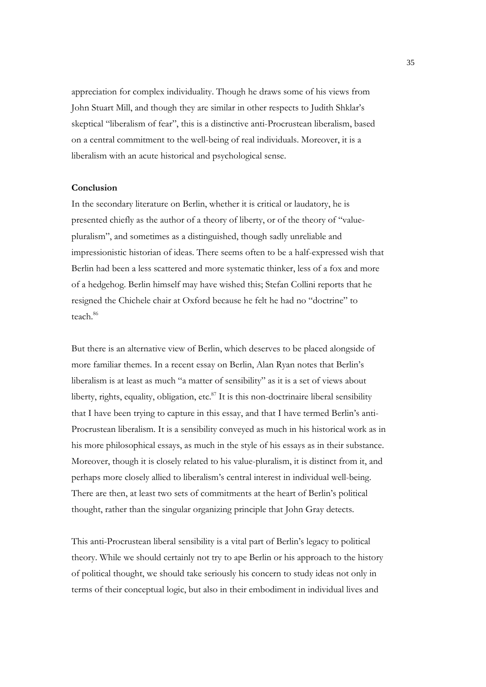appreciation for complex individuality. Though he draws some of his views from John Stuart Mill, and though they are similar in other respects to Judith Shklar's skeptical "liberalism of fear", this is a distinctive anti-Procrustean liberalism, based on a central commitment to the well-being of real individuals. Moreover, it is a liberalism with an acute historical and psychological sense.

#### **Conclusion**

In the secondary literature on Berlin, whether it is critical or laudatory, he is presented chiefly as the author of a theory of liberty, or of the theory of "valuepluralism", and sometimes as a distinguished, though sadly unreliable and impressionistic historian of ideas. There seems often to be a half-expressed wish that Berlin had been a less scattered and more systematic thinker, less of a fox and more of a hedgehog. Berlin himself may have wished this; Stefan Collini reports that he resigned the Chichele chair at Oxford because he felt he had no "doctrine" to teach.<sup>86</sup>

But there is an alternative view of Berlin, which deserves to be placed alongside of more familiar themes. In a recent essay on Berlin, Alan Ryan notes that Berlin's liberalism is at least as much "a matter of sensibility" as it is a set of views about liberty, rights, equality, obligation, etc. $87$  It is this non-doctrinaire liberal sensibility that I have been trying to capture in this essay, and that I have termed Berlin's anti-Procrustean liberalism. It is a sensibility conveyed as much in his historical work as in his more philosophical essays, as much in the style of his essays as in their substance. Moreover, though it is closely related to his value-pluralism, it is distinct from it, and perhaps more closely allied to liberalism's central interest in individual well-being. There are then, at least two sets of commitments at the heart of Berlin's political thought, rather than the singular organizing principle that John Gray detects.

This anti-Procrustean liberal sensibility is a vital part of Berlin's legacy to political theory. While we should certainly not try to ape Berlin or his approach to the history of political thought, we should take seriously his concern to study ideas not only in terms of their conceptual logic, but also in their embodiment in individual lives and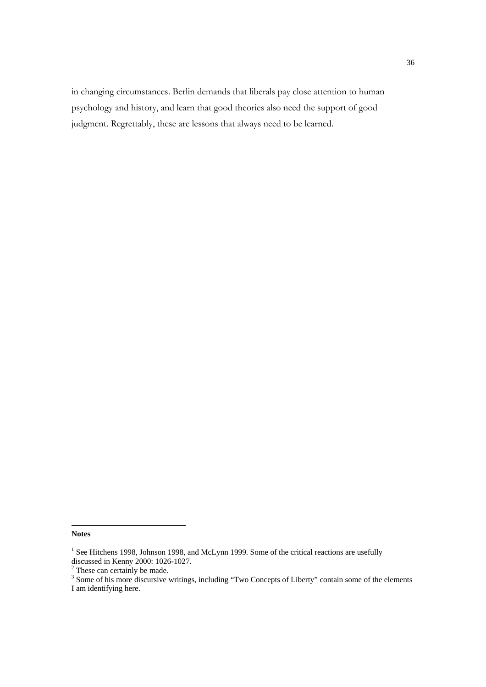in changing circumstances. Berlin demands that liberals pay close attention to human psychology and history, and learn that good theories also need the support of good judgment. Regrettably, these are lessons that always need to be learned.

 $\overline{a}$ 

**Notes** 

 $<sup>1</sup>$  See Hitchens 1998, Johnson 1998, and McLynn 1999. Some of the critical reactions are usefully</sup>

discussed in Kenny 2000: 1026-1027.<br><sup>2</sup> These can certainly be made.<br><sup>3</sup> Some of his more discursive writings, including "Two Concepts of Liberty" contain some of the elements I am identifying here.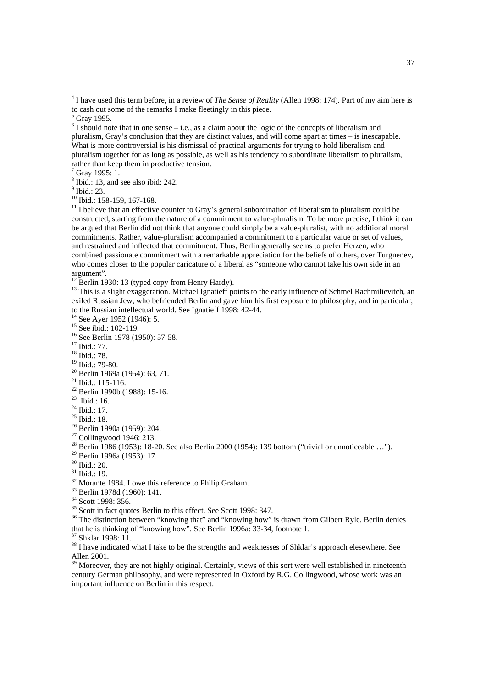$7$  Gray 1995: 1.

8 Ibid.: 13, and see also ibid: 242.

<sup>9</sup> Ibid.: 23.

<sup>10</sup> Ibid.: 158-159, 167-168.

 $11$  I believe that an effective counter to Gray's general subordination of liberalism to pluralism could be constructed, starting from the nature of a commitment to value-pluralism. To be more precise, I think it can be argued that Berlin did not think that anyone could simply be a value-pluralist, with no additional moral commitments. Rather, value-pluralism accompanied a commitment to a particular value or set of values, and restrained and inflected that commitment. Thus, Berlin generally seems to prefer Herzen, who combined passionate commitment with a remarkable appreciation for the beliefs of others, over Turgnenev, who comes closer to the popular caricature of a liberal as "someone who cannot take his own side in an argument".

 $12$  Berlin 1930: 13 (typed copy from Henry Hardy).

<sup>13</sup> This is a slight exaggeration. Michael Ignatieff points to the early influence of Schmel Rachmilievitch, an exiled Russian Jew, who befriended Berlin and gave him his first exposure to philosophy, and in particular, to the Russian intellectual world. See Ignatieff 1998: 42-44.

 $14$  See Ayer 1952 (1946): 5.

<sup>15</sup> See ibid.: 102-119.

16 See Berlin 1978 (1950): 57-58.

<sup>17</sup> Ibid.: 77.

18 Ibid.: 78.

 $19$  Ibid.: 79-80.

 $^{21}$  Ibid.: 115-116.

22 Berlin 1990b (1988): 15-16.

 $^{23}$  Ibid.: 16.

<sup>24</sup> Ibid.: 17.

25 Ibid.: 18.

26 Berlin 1990a (1959): 204.

27 Collingwood 1946: 213.

29 Berlin 1996a (1953): 17.

30 Ibid.: 20.

31 Ibid.: 19.

<sup>32</sup> Morante 1984. I owe this reference to Philip Graham.

33 Berlin 1978d (1960): 141.

34 Scott 1998: 356.

35 Scott in fact quotes Berlin to this effect. See Scott 1998: 347.

<sup>36</sup> The distinction between "knowing that" and "knowing how" is drawn from Gilbert Ryle. Berlin denies that he is thinking of "knowing how". See Berlin 1996a: 33-34, footnote 1.

37 Shklar 1998: 11.

<sup>38</sup> I have indicated what I take to be the strengths and weaknesses of Shklar's approach elesewhere. See Allen 2001.

<sup>39</sup> Moreover, they are not highly original. Certainly, views of this sort were well established in nineteenth century German philosophy, and were represented in Oxford by R.G. Collingwood, whose work was an important influence on Berlin in this respect.

 $\frac{1}{4}$ <sup>4</sup> I have used this term before, in a review of *The Sense of Reality* (Allen 1998: 174). Part of my aim here is to cash out some of the remarks I make fleetingly in this piece.

<sup>5</sup> Gray 1995.

 $6$  I should note that in one sense – i.e., as a claim about the logic of the concepts of liberalism and pluralism, Gray's conclusion that they are distinct values, and will come apart at times – is inescapable. What is more controversial is his dismissal of practical arguments for trying to hold liberalism and pluralism together for as long as possible, as well as his tendency to subordinate liberalism to pluralism, rather than keep them in productive tension.

 $20$  Berlin 1969a (1954): 63, 71.

<sup>&</sup>lt;sup>28</sup> Berlin 1986 (1953): 18-20. See also Berlin 2000 (1954): 139 bottom ("trivial or unnoticeable ...").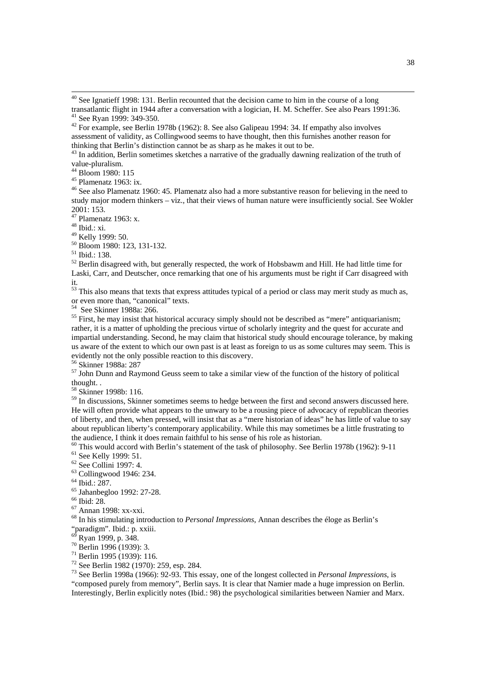42 For example, see Berlin 1978b (1962): 8. See also Galipeau 1994: 34. If empathy also involves assessment of validity, as Collingwood seems to have thought, then this furnishes another reason for thinking that Berlin's distinction cannot be as sharp as he makes it out to be.

 $43$  In addition, Berlin sometimes sketches a narrative of the gradually dawning realization of the truth of value-pluralism.

44 Bloom 1980: 115

45 Plamenatz 1963: ix.

46 See also Plamenatz 1960: 45. Plamenatz also had a more substantive reason for believing in the need to study major modern thinkers – viz., that their views of human nature were insufficiently social. See Wokler 2001: 153.

47 Plamenatz 1963: x.

48 Ibid.: xi.

49 Kelly 1999: 50.

50 Bloom 1980: 123, 131-132.

 $52$  Berlin disagreed with, but generally respected, the work of Hobsbawm and Hill. He had little time for Laski, Carr, and Deutscher, once remarking that one of his arguments must be right if Carr disagreed with it.

 $53$  This also means that texts that express attitudes typical of a period or class may merit study as much as, or even more than, "canonical" texts.

54 See Skinner 1988a: 266.

<sup>55</sup> First, he may insist that historical accuracy simply should not be described as "mere" antiquarianism; rather, it is a matter of upholding the precious virtue of scholarly integrity and the quest for accurate and impartial understanding. Second, he may claim that historical study should encourage tolerance, by making us aware of the extent to which our own past is at least as foreign to us as some cultures may seem. This is evidently not the only possible reaction to this discovery.

56 Skinner 1988a: 287

 $57$  John Dunn and Raymond Geuss seem to take a similar view of the function of the history of political thought. .

<sup>58</sup> Skinner 1998b: 116.

<sup>59</sup> In discussions, Skinner sometimes seems to hedge between the first and second answers discussed here. He will often provide what appears to the unwary to be a rousing piece of advocacy of republican theories of liberty, and then, when pressed, will insist that as a "mere historian of ideas" he has little of value to say about republican liberty's contemporary applicability. While this may sometimes be a little frustrating to the audience, I think it does remain faithful to his sense of his role as historian.

<sup>60</sup> This would accord with Berlin's statement of the task of philosophy. See Berlin 1978b (1962): 9-11 <sup>61</sup> See Kelly 1999: 51.

62 See Collini 1997: 4.

 $63$  Collingwood 1946: 234.

64 Ibid.: 287.

65 Jahanbegloo 1992: 27-28.

66 Ibid: 28.

67 Annan 1998: xx-xxi.

68 In his stimulating introduction to *Personal Impressions*, Annan describes the éloge as Berlin's

"paradigm". Ibid.: p. xxiii.

Ryan 1999, p. 348.

70 Berlin 1996 (1939): 3.

71 Berlin 1995 (1939): 116.

72 See Berlin 1982 (1970): 259, esp. 284.

73 See Berlin 1998a (1966): 92-93. This essay, one of the longest collected in *Personal Impressions*, is "composed purely from memory", Berlin says. It is clear that Namier made a huge impression on Berlin.

Interestingly, Berlin explicitly notes (Ibid.: 98) the psychological similarities between Namier and Marx.

 $40$  See Ignatieff 1998: 131. Berlin recounted that the decision came to him in the course of a long transatlantic flight in 1944 after a conversation with a logician, H. M. Scheffer. See also Pears 1991:36. <sup>41</sup> See Ryan 1999: 349-350.

<sup>51</sup> Ibid.: 138.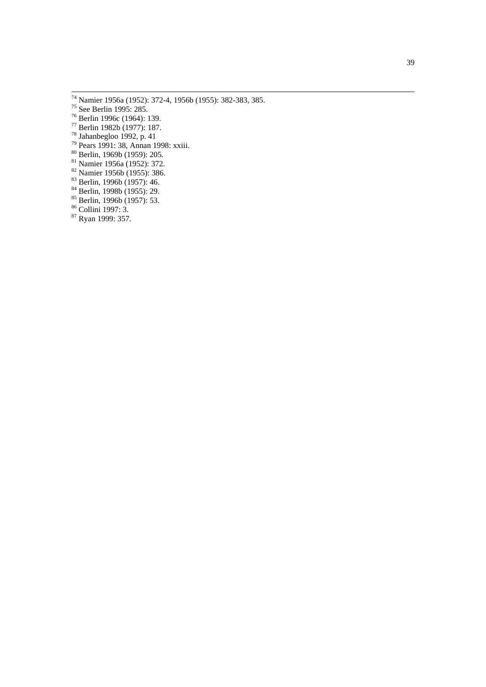- 74 Namier 1956a (1952): 372-4, 1956b (1955): 382-383, 385.
- 75 See Berlin 1995: 285.
- 76 Berlin 1996c (1964): 139.
- 77 Berlin 1982b (1977): 187.
- 78 Jahanbegloo 1992, p. 41
- 79 Pears 1991: 38, Annan 1998: xxiii.
- 80 Berlin, 1969b (1959): 205.
- 81 Namier 1956a (1952): 372.
- 82 Namier 1956b (1955): 386.
- 83 Berlin, 1996b (1957): 46.
- 84 Berlin, 1998b (1955): 29.
- 85 Berlin, 1996b (1957): 53.
- 86 Collini 1997: 3.
- <sup>87</sup> Ryan 1999: 357.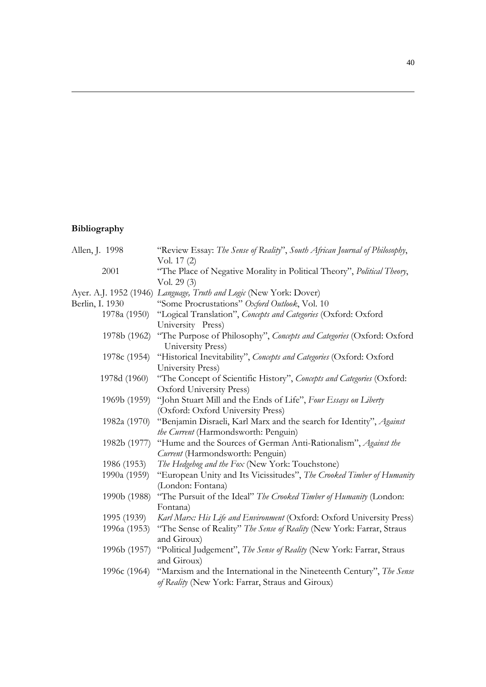# **Bibliography**

 $\overline{a}$ 

| Allen, J. 1998  | "Review Essay: The Sense of Reality", South African Journal of Philosophy, |
|-----------------|----------------------------------------------------------------------------|
|                 | Vol. 17 (2)                                                                |
| 2001            | "The Place of Negative Morality in Political Theory", Political Theory,    |
|                 | Vol. $29(3)$                                                               |
|                 | Ayer. A.J. 1952 (1946) Language, Truth and Logic (New York: Dover)         |
| Berlin, I. 1930 | "Some Procrustations" Oxford Outlook, Vol. 10                              |
| 1978a (1950)    | "Logical Translation", Concepts and Categories (Oxford: Oxford             |
|                 | University Press)                                                          |
| 1978b (1962)    | "The Purpose of Philosophy", Concepts and Categories (Oxford: Oxford       |
|                 | University Press)                                                          |
| 1978c (1954)    | "Historical Inevitability", Concepts and Categories (Oxford: Oxford        |
|                 | University Press)                                                          |
| 1978d (1960)    | "The Concept of Scientific History", Concepts and Categories (Oxford:      |
|                 | Oxford University Press)                                                   |
| 1969b (1959)    | "John Stuart Mill and the Ends of Life", Four Essays on Liberty            |
|                 | (Oxford: Oxford University Press)                                          |
| 1982a (1970)    | "Benjamin Disraeli, Karl Marx and the search for Identity", Against        |
|                 | the Current (Harmondsworth: Penguin)                                       |
| 1982b (1977)    | "Hume and the Sources of German Anti-Rationalism", Against the             |
|                 | Current (Harmondsworth: Penguin)                                           |
| 1986 (1953)     | The Hedgehog and the Fox (New York: Touchstone)                            |
| 1990a (1959)    | "European Unity and Its Vicissitudes", The Crooked Timber of Humanity      |
|                 | (London: Fontana)                                                          |
| 1990b (1988)    | "The Pursuit of the Ideal" The Crooked Timber of Humanity (London:         |
|                 | Fontana)                                                                   |
| 1995 (1939)     | Karl Marx: His Life and Environment (Oxford: Oxford University Press)      |
| 1996a (1953)    | "The Sense of Reality" The Sense of Reality (New York: Farrar, Straus      |
|                 | and Giroux)                                                                |
| 1996b (1957)    | "Political Judgement", The Sense of Reality (New York: Farrar, Straus      |
|                 | and Giroux)                                                                |
| 1996c (1964)    | "Marxism and the International in the Nineteenth Century", The Sense       |
|                 | of Reality (New York: Farrar, Straus and Giroux)                           |